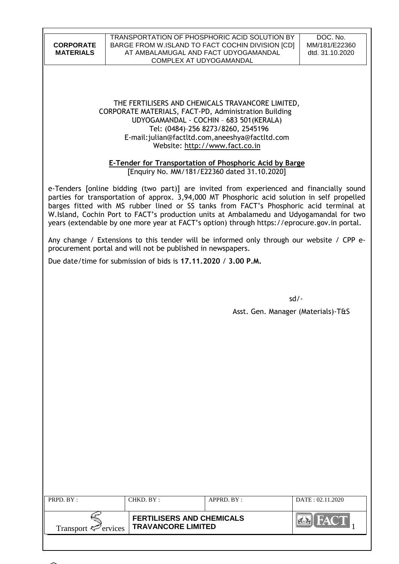#### TRANSPORTATION OF PHOSPHORIC ACID SOLUTION BY BARGE FROM W.ISLAND TO FACT COCHIN DIVISION [CD] AT AMBALAMUGAL AND FACT UDYOGAMANDAL COMPLEX AT UDYOGAMANDAL

DOC. No. MM/181/E22360 dtd. 31.10.2020

# THE FERTILISERS AND CHEMICALS TRAVANCORE LIMITED, CORPORATE MATERIALS, FACT-PD, Administration Building UDYOGAMANDAL - COCHIN – 683 501(KERALA) Tel: (0484)–256 8273/8260, 2545196 E-mail:julian@factltd.com,aneeshya@factltd.com Website: [http://www.fact.co.in](http://www.fact.co.in/)

# **E-Tender for Transportation of Phosphoric Acid by Barge**

[Enquiry No. MM/181/E22360 dated 31.10.2020]

e-Tenders [online bidding (two part)] are invited from experienced and financially sound parties for transportation of approx. 3,94,000 MT Phosphoric acid solution in self propelled barges fitted with MS rubber lined or SS tanks from FACT's Phosphoric acid terminal at W.Island, Cochin Port to FACT's production units at Ambalamedu and Udyogamandal for two years (extendable by one more year at FACT's option) through https://eprocure.gov.in portal.

Any change / Extensions to this tender will be informed only through our website / CPP eprocurement portal and will not be published in newspapers.

Due date/time for submission of bids is **17.11.2020** / **3.00 P.M.**

sd/-

Asst. Gen. Manager (Materials)-T&S

| PRPD $BY:$                      | CHKD. BY:                                                     | APPRD. BY: | DATA: 02.11.2020 |
|---------------------------------|---------------------------------------------------------------|------------|------------------|
| Transport $\mathcal{F}$ ervices | <b>FERTILISERS AND CHEMICALS</b><br><b>TRAVANCORE LIMITED</b> |            |                  |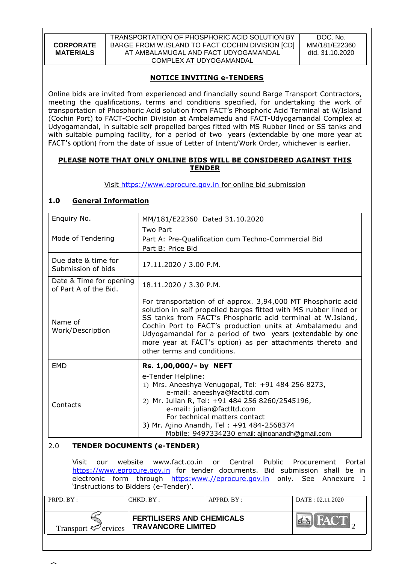TRANSPORTATION OF PHOSPHORIC ACID SOLUTION BY BARGE FROM W.ISLAND TO FACT COCHIN DIVISION [CD] AT AMBALAMUGAL AND FACT UDYOGAMANDAL COMPLEX AT UDYOGAMANDAL

DOC. No. MM/181/E22360 dtd. 31.10.2020

# **NOTICE INVITING e-TENDERS**

Online bids are invited from experienced and financially sound Barge Transport Contractors, meeting the qualifications, terms and conditions specified, for undertaking the work of transportation of Phosphoric Acid solution from FACT"s Phosphoric Acid Terminal at W/Island (Cochin Port) to FACT-Cochin Division at Ambalamedu and FACT-Udyogamandal Complex at Udyogamandal, in suitable self propelled barges fitted with MS Rubber lined or SS tanks and with suitable pumping facility, for a period of two years (extendable by one more year at FACT's option) from the date of issue of Letter of Intent/Work Order, whichever is earlier.

### **PLEASE NOTE THAT ONLY ONLINE BIDS WILL BE CONSIDERED AGAINST THIS TENDER**

Visit [https://www.eprocure.gov.in](https://www.eprocure.gov.in/) for online bid submission

# **1.0 General Information**

| Enquiry No.                                      | MM/181/E22360 Dated 31.10.2020                                                                                                                                                                                                                                                                                                                                                                                       |
|--------------------------------------------------|----------------------------------------------------------------------------------------------------------------------------------------------------------------------------------------------------------------------------------------------------------------------------------------------------------------------------------------------------------------------------------------------------------------------|
| Mode of Tendering                                | Two Part<br>Part A: Pre-Qualification cum Techno-Commercial Bid<br>Part B: Price Bid                                                                                                                                                                                                                                                                                                                                 |
| Due date & time for<br>Submission of bids        | 17.11.2020 / 3.00 P.M.                                                                                                                                                                                                                                                                                                                                                                                               |
| Date & Time for opening<br>of Part A of the Bid. | 18.11.2020 / 3.30 P.M.                                                                                                                                                                                                                                                                                                                                                                                               |
| Name of<br>Work/Description                      | For transportation of of approx. 3,94,000 MT Phosphoric acid<br>solution in self propelled barges fitted with MS rubber lined or<br>SS tanks from FACT's Phosphoric acid terminal at W.Island,<br>Cochin Port to FACT's production units at Ambalamedu and<br>Udyogamandal for a period of two years (extendable by one<br>more year at FACT's option) as per attachments thereto and<br>other terms and conditions. |
| <b>EMD</b>                                       | Rs. 1,00,000/- by NEFT                                                                                                                                                                                                                                                                                                                                                                                               |
| Contacts                                         | e-Tender Helpline:<br>1) Mrs. Aneeshya Venugopal, Tel: +91 484 256 8273,<br>e-mail: aneeshya@factltd.com<br>2) Mr. Julian R, Tel: +91 484 256 8260/2545196,<br>e-mail: julian@factltd.com<br>For technical matters contact<br>3) Mr. Ajino Anandh, Tel: +91 484-2568374<br>Mobile: 9497334230 email: ajinoanandh@gmail.com                                                                                           |

# 2.0 **TENDER DOCUMENTS (e-TENDER)**

Visit our website www.fact.co.in or Central Public Procurement Portal [https://www.eprocure.gov.in](https://www.eprocure.gov.in/) for tender documents. Bid submission shall be in electronic form through [https:www.//eprocure.gov.in](https://eprocure.gov.in/) only. See Annexure I 'Instructions to Bidders (e-Tender)'.

| PRPD. BY:                       | CHKD. BY :                                                    | APPRD. BY: | DATA: 02.11.2020 |
|---------------------------------|---------------------------------------------------------------|------------|------------------|
| Transport $\mathcal{P}$ ervices | <b>FERTILISERS AND CHEMICALS</b><br><b>TRAVANCORE LIMITED</b> |            | HAC T            |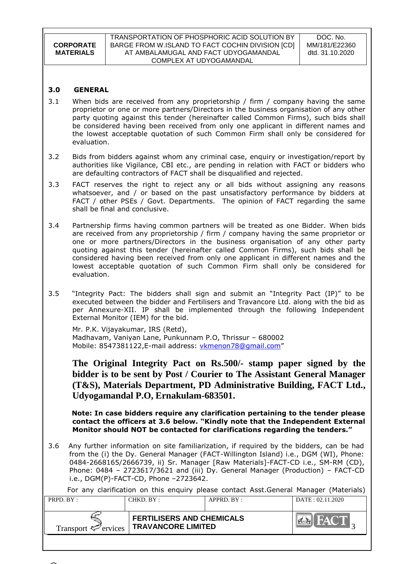| CORPORATE        |
|------------------|
| <b>MATERIALS</b> |

### **3.0 GENERAL**

- 3.1 When bids are received from any proprietorship / firm / company having the same proprietor or one or more partners/Directors in the business organisation of any other party quoting against this tender (hereinafter called Common Firms), such bids shall be considered having been received from only one applicant in different names and the lowest acceptable quotation of such Common Firm shall only be considered for evaluation.
- 3.2 Bids from bidders against whom any criminal case, enquiry or investigation/report by authorities like Vigilance, CBI etc., are pending in relation with FACT or bidders who are defaulting contractors of FACT shall be disqualified and rejected.
- 3.3 FACT reserves the right to reject any or all bids without assigning any reasons whatsoever, and / or based on the past unsatisfactory performance by bidders at FACT / other PSEs / Govt. Departments. The opinion of FACT regarding the same shall be final and conclusive.
- 3.4 Partnership firms having common partners will be treated as one Bidder. When bids are received from any proprietorship / firm / company having the same proprietor or one or more partners/Directors in the business organisation of any other party quoting against this tender (hereinafter called Common Firms), such bids shall be considered having been received from only one applicant in different names and the lowest acceptable quotation of such Common Firm shall only be considered for evaluation.
- 3.5 "Integrity Pact: The bidders shall sign and submit an "Integrity Pact (IP)" to be executed between the bidder and Fertilisers and Travancore Ltd. along with the bid as per Annexure-XII. IP shall be implemented through the following Independent External Monitor (IEM) for the bid.

Mr. P.K. Vijayakumar, IRS (Retd),

Madhavam, Vaniyan Lane, Punkunnam P.O, Thrissur – 680002 Mobile: [8547381122,](callto:8547381122) E-mail address: [vkmenon78@gmail.com](mailto:vkmenon78@gmail.com)"

**The Original Integrity Pact on Rs.500/- stamp paper signed by the bidder is to be sent by Post / Courier to The Assistant General Manager (T&S), Materials Department, PD Administrative Building, FACT Ltd., Udyogamandal P.O, Ernakulam-683501.**

 **Note: In case bidders require any clarification pertaining to the tender please contact the officers at 3.6 below. "Kindly note that the Independent External Monitor should NOT be contacted for clarifications regarding the tenders."**

3.6 Any further information on site familiarization, if required by the bidders, can be had from the (i) the Dy. General Manager (FACT-Willington Island) i.e., DGM (WI), Phone: 0484-2668165/2666739, ii) Sr. Manager [Raw Materials]-FACT-CD i.e., SM-RM (CD), Phone: 0484 – 2723617/3621 and (iii) Dy. General Manager (Production) – FACT-CD i.e., DGM(P)-FACT-CD, Phone –2723642.

| PRPD. BY:                       | CHKD. BY : | APPRD. BY:                                                    | DATA: 02.11.2020 |
|---------------------------------|------------|---------------------------------------------------------------|------------------|
| Transport $\mathcal{F}$ ervices |            | <b>FERTILISERS AND CHEMICALS</b><br><b>TRAVANCORE LIMITED</b> |                  |

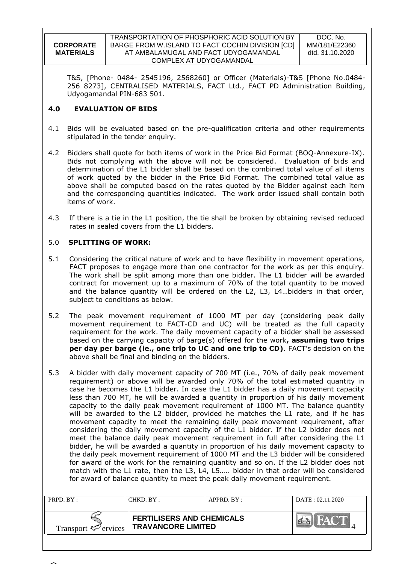**CORPORATE MATERIALS** TRANSPORTATION OF PHOSPHORIC ACID SOLUTION BY BARGE FROM W.ISLAND TO FACT COCHIN DIVISION [CD] AT AMBALAMUGAL AND FACT UDYOGAMANDAL COMPLEX AT UDYOGAMANDAL

DOC. No. MM/181/E22360 dtd. 31.10.2020

T&S, [Phone- 0484- 2545196, 2568260] or Officer (Materials)-T&S [Phone No.0484- 256 8273], CENTRALISED MATERIALS, FACT Ltd., FACT PD Administration Building, Udyogamandal PIN-683 501.

### **4.0 EVALUATION OF BIDS**

- 4.1 Bids will be evaluated based on the pre-qualification criteria and other requirements stipulated in the tender enquiry.
- 4.2 Bidders shall quote for both items of work in the Price Bid Format (BOQ-Annexure-IX). Bids not complying with the above will not be considered. Evaluation of bids and determination of the L1 bidder shall be based on the combined total value of all items of work quoted by the bidder in the Price Bid Format. The combined total value as above shall be computed based on the rates quoted by the Bidder against each item and the corresponding quantities indicated. The work order issued shall contain both items of work.
- 4.3 If there is a tie in the L1 position, the tie shall be broken by obtaining revised reduced rates in sealed covers from the L1 bidders.

### 5.0 **SPLITTING OF WORK:**

- 5.1 Considering the critical nature of work and to have flexibility in movement operations, FACT proposes to engage more than one contractor for the work as per this enquiry. The work shall be split among more than one bidder. The L1 bidder will be awarded contract for movement up to a maximum of 70% of the total quantity to be moved and the balance quantity will be ordered on the L2, L3, L4…bidders in that order, subject to conditions as below.
- 5.2 The peak movement requirement of 1000 MT per day (considering peak daily movement requirement to FACT-CD and UC) will be treated as the full capacity requirement for the work. The daily movement capacity of a bidder shall be assessed based on the carrying capacity of barge(s) offered for the work**, assuming two trips per day per barge (ie., one trip to UC and one trip to CD)**. FACT"s decision on the above shall be final and binding on the bidders.
- 5.3 A bidder with daily movement capacity of 700 MT (i.e., 70% of daily peak movement requirement) or above will be awarded only 70% of the total estimated quantity in case he becomes the L1 bidder. In case the L1 bidder has a daily movement capacity less than 700 MT, he will be awarded a quantity in proportion of his daily movement capacity to the daily peak movement requirement of 1000 MT. The balance quantity will be awarded to the L2 bidder, provided he matches the L1 rate, and if he has movement capacity to meet the remaining daily peak movement requirement, after considering the daily movement capacity of the L1 bidder. If the L2 bidder does not meet the balance daily peak movement requirement in full after considering the L1 bidder, he will be awarded a quantity in proportion of his daily movement capacity to the daily peak movement requirement of 1000 MT and the L3 bidder will be considered for award of the work for the remaining quantity and so on. If the L2 bidder does not match with the L1 rate, then the L3, L4, L5….. bidder in that order will be considered for award of balance quantity to meet the peak daily movement requirement.

| PRPD. BY:                       | CHKD. BY:                                                     | APPRD. BY: | DATA: 02.11.2020 |
|---------------------------------|---------------------------------------------------------------|------------|------------------|
| Transport $\mathcal{P}$ ervices | <b>FERTILISERS AND CHEMICALS</b><br><b>TRAVANCORE LIMITED</b> |            |                  |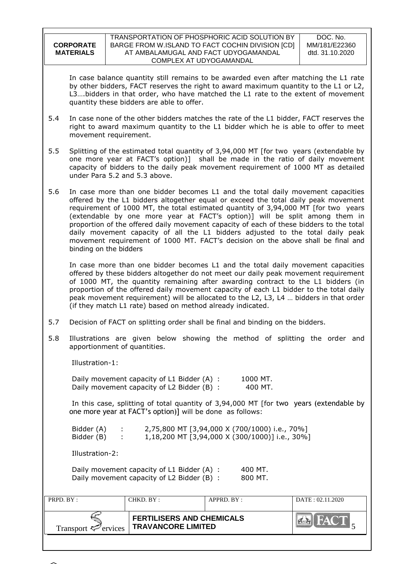| <b>CORPORATE</b> |
|------------------|
| <b>MATERIALS</b> |
|                  |

In case balance quantity still remains to be awarded even after matching the L1 rate by other bidders, FACT reserves the right to award maximum quantity to the L1 or L2, L3….bidders in that order, who have matched the L1 rate to the extent of movement quantity these bidders are able to offer.

- 5.4 In case none of the other bidders matches the rate of the L1 bidder, FACT reserves the right to award maximum quantity to the L1 bidder which he is able to offer to meet movement requirement.
- 5.5 Splitting of the estimated total quantity of 3,94,000 MT [for two years (extendable by one more year at FACT"s option)] shall be made in the ratio of daily movement capacity of bidders to the daily peak movement requirement of 1000 MT as detailed under Para 5.2 and 5.3 above.
- 5.6 In case more than one bidder becomes L1 and the total daily movement capacities offered by the L1 bidders altogether equal or exceed the total daily peak movement requirement of 1000 MT, the total estimated quantity of 3,94,000 MT [for two years (extendable by one more year at FACT"s option)] will be split among them in proportion of the offered daily movement capacity of each of these bidders to the total daily movement capacity of all the L1 bidders adjusted to the total daily peak movement requirement of 1000 MT. FACT"s decision on the above shall be final and binding on the bidders

In case more than one bidder becomes L1 and the total daily movement capacities offered by these bidders altogether do not meet our daily peak movement requirement of 1000 MT, the quantity remaining after awarding contract to the L1 bidders (in proportion of the offered daily movement capacity of each L1 bidder to the total daily peak movement requirement) will be allocated to the L2, L3, L4 … bidders in that order (if they match L1 rate) based on method already indicated.

- 5.7 Decision of FACT on splitting order shall be final and binding on the bidders.
- 5.8 Illustrations are given below showing the method of splitting the order and apportionment of quantities.

Illustration-1:

Daily movement capacity of L1 Bidder (A) : 1000 MT. Daily movement capacity of L2 Bidder (B) : 400 MT.

In this case, splitting of total quantity of 3,94,000 MT [for two years (extendable by one more year at FACT's option)] will be done as follows:

Bidder (A) : 2,75,800 MT [3,94,000 X (700/1000) i.e., 70%] Bidder (B) : 1,18,200 MT [3,94,000 X (300/1000)] i.e., 30%]

Illustration-2:

| Daily movement capacity of L1 Bidder (A) : | 400 MT. |
|--------------------------------------------|---------|
| Daily movement capacity of L2 Bidder (B) : | 800 MT. |

| PRPD. BY:                       | CHKD. BY :                                                    | APPRD. BY: | DATA: 02.11.2020 |
|---------------------------------|---------------------------------------------------------------|------------|------------------|
| Transport $\mathcal{P}$ ervices | <b>FERTILISERS AND CHEMICALS</b><br><b>TRAVANCORE LIMITED</b> |            | <b>THATCHE</b>   |

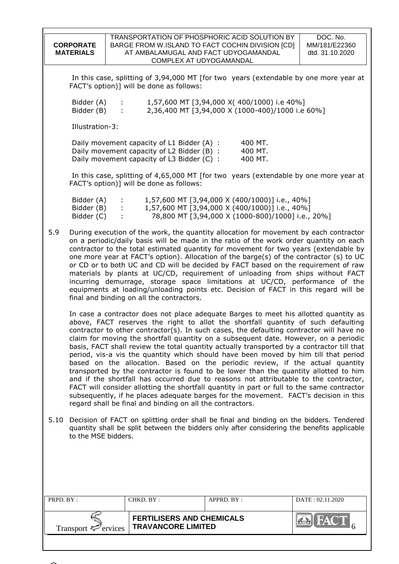|                                        |                                                                                                                                        | TRANSPORTATION OF PHOSPHORIC ACID SOLUTION BY                                                                                                                                                                                                                                                                                                                                                                                                                                                                                                                                                                                                                                                                                                                                                                                                                                                                                                                                                             | DOC. No.         |  |  |
|----------------------------------------|----------------------------------------------------------------------------------------------------------------------------------------|-----------------------------------------------------------------------------------------------------------------------------------------------------------------------------------------------------------------------------------------------------------------------------------------------------------------------------------------------------------------------------------------------------------------------------------------------------------------------------------------------------------------------------------------------------------------------------------------------------------------------------------------------------------------------------------------------------------------------------------------------------------------------------------------------------------------------------------------------------------------------------------------------------------------------------------------------------------------------------------------------------------|------------------|--|--|
| <b>CORPORATE</b>                       |                                                                                                                                        | BARGE FROM W.ISLAND TO FACT COCHIN DIVISION [CD]                                                                                                                                                                                                                                                                                                                                                                                                                                                                                                                                                                                                                                                                                                                                                                                                                                                                                                                                                          | MM/181/E22360    |  |  |
| <b>MATERIALS</b>                       |                                                                                                                                        | AT AMBALAMUGAL AND FACT UDYOGAMANDAL<br>COMPLEX AT UDYOGAMANDAL                                                                                                                                                                                                                                                                                                                                                                                                                                                                                                                                                                                                                                                                                                                                                                                                                                                                                                                                           | dtd. 31.10.2020  |  |  |
|                                        | In this case, splitting of 3,94,000 MT [for two years (extendable by one more year at<br>FACT's option)] will be done as follows:      |                                                                                                                                                                                                                                                                                                                                                                                                                                                                                                                                                                                                                                                                                                                                                                                                                                                                                                                                                                                                           |                  |  |  |
| Bidder (A)<br>Bidder (B)               |                                                                                                                                        | 1,57,600 MT [3,94,000 X(400/1000) i.e 40%]<br>2,36,400 MT [3,94,000 X (1000-400)/1000 i.e 60%]                                                                                                                                                                                                                                                                                                                                                                                                                                                                                                                                                                                                                                                                                                                                                                                                                                                                                                            |                  |  |  |
| Illustration-3:                        |                                                                                                                                        |                                                                                                                                                                                                                                                                                                                                                                                                                                                                                                                                                                                                                                                                                                                                                                                                                                                                                                                                                                                                           |                  |  |  |
|                                        | Daily movement capacity of L1 Bidder (A) :<br>Daily movement capacity of L2 Bidder (B) :<br>Daily movement capacity of L3 Bidder (C) : | 400 MT.<br>400 MT.<br>400 MT.                                                                                                                                                                                                                                                                                                                                                                                                                                                                                                                                                                                                                                                                                                                                                                                                                                                                                                                                                                             |                  |  |  |
|                                        | FACT's option)] will be done as follows:                                                                                               | In this case, splitting of 4,65,000 MT [for two years (extendable by one more year at                                                                                                                                                                                                                                                                                                                                                                                                                                                                                                                                                                                                                                                                                                                                                                                                                                                                                                                     |                  |  |  |
| Bidder (A)<br>Bidder (B)<br>Bidder (C) | ÷.                                                                                                                                     | 1,57,600 MT [3,94,000 X (400/1000)] i.e., 40%]<br>1,57,600 MT [3,94,000 X (400/1000)] i.e., 40%]<br>78,800 MT [3,94,000 X (1000-800)/1000] i.e., 20%]                                                                                                                                                                                                                                                                                                                                                                                                                                                                                                                                                                                                                                                                                                                                                                                                                                                     |                  |  |  |
| 5.9                                    | final and binding on all the contractors.                                                                                              | During execution of the work, the quantity allocation for movement by each contractor<br>on a periodic/daily basis will be made in the ratio of the work order quantity on each<br>contractor to the total estimated quantity for movement for two years (extendable by<br>one more year at FACT's option). Allocation of the barge(s) of the contractor (s) to UC<br>or CD or to both UC and CD will be decided by FACT based on the requirement of raw<br>materials by plants at UC/CD, requirement of unloading from ships without FACT<br>incurring demurrage, storage space limitations at UC/CD, performance of the<br>equipments at loading/unloading points etc. Decision of FACT in this regard will be                                                                                                                                                                                                                                                                                          |                  |  |  |
|                                        | regard shall be final and binding on all the contractors.                                                                              | In case a contractor does not place adequate Barges to meet his allotted quantity as<br>above, FACT reserves the right to allot the shortfall quantity of such defaulting<br>contractor to other contractor(s). In such cases, the defaulting contractor will have no<br>claim for moving the shortfall quantity on a subsequent date. However, on a periodic<br>basis, FACT shall review the total quantity actually transported by a contractor till that<br>period, vis-a vis the quantity which should have been moved by him till that period<br>based on the allocation. Based on the periodic review, if the actual quantity<br>transported by the contractor is found to be lower than the quantity allotted to him<br>and if the shortfall has occurred due to reasons not attributable to the contractor,<br>FACT will consider allotting the shortfall quantity in part or full to the same contractor<br>subsequently, if he places adequate barges for the movement. FACT's decision in this |                  |  |  |
| to the MSE bidders.                    |                                                                                                                                        | 5.10 Decision of FACT on splitting order shall be final and binding on the bidders. Tendered<br>quantity shall be split between the bidders only after considering the benefits applicable                                                                                                                                                                                                                                                                                                                                                                                                                                                                                                                                                                                                                                                                                                                                                                                                                |                  |  |  |
|                                        |                                                                                                                                        |                                                                                                                                                                                                                                                                                                                                                                                                                                                                                                                                                                                                                                                                                                                                                                                                                                                                                                                                                                                                           |                  |  |  |
| PRPD. BY:                              | CHKD. BY:                                                                                                                              | APPRD. BY:                                                                                                                                                                                                                                                                                                                                                                                                                                                                                                                                                                                                                                                                                                                                                                                                                                                                                                                                                                                                | DATE: 02.11.2020 |  |  |
| Transport $\leq$ ervices               | <b>FERTILISERS AND CHEMICALS</b><br><b>TRAVANCORE LIMITED</b>                                                                          |                                                                                                                                                                                                                                                                                                                                                                                                                                                                                                                                                                                                                                                                                                                                                                                                                                                                                                                                                                                                           |                  |  |  |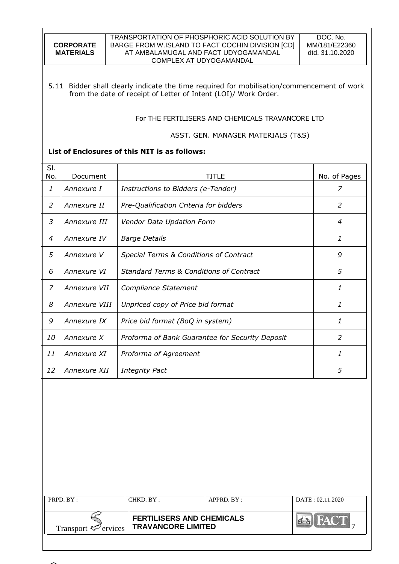| <b>CORPORATE</b> |
|------------------|
| <b>MATERIALS</b> |
|                  |

#### TRANSPORTATION OF PHOSPHORIC ACID SOLUTION BY BARGE FROM W.ISLAND TO FACT COCHIN DIVISION [CD] AT AMBALAMUGAL AND FACT UDYOGAMANDAL COMPLEX AT UDYOGAMANDAL

5.11 Bidder shall clearly indicate the time required for mobilisation/commencement of work from the date of receipt of Letter of Intent (LOI)/ Work Order.

For THE FERTILISERS AND CHEMICALS TRAVANCORE LTD

### ASST. GEN. MANAGER MATERIALS (T&S)

# **List of Enclosures of this NIT is as follows:**

| SI.<br>No. | Document      | TITLE                                              | No. of Pages |
|------------|---------------|----------------------------------------------------|--------------|
| 1          | Annexure I    | Instructions to Bidders (e-Tender)                 | 7            |
| 2          | Annexure II   | Pre-Qualification Criteria for bidders             | 2            |
| 3          | Annexure III  | Vendor Data Updation Form                          | 4            |
| 4          | Annexure IV   | <b>Barge Details</b>                               | 1            |
| 5          | Annexure V    | Special Terms & Conditions of Contract             | 9            |
| 6          | Annexure VI   | <b>Standard Terms &amp; Conditions of Contract</b> | 5            |
| 7          | Annexure VII  | Compliance Statement                               | 1            |
| 8          | Annexure VIII | Unpriced copy of Price bid format                  | 1            |
| 9          | Annexure IX   | Price bid format (BoQ in system)                   | 1            |
| 10         | Annexure X    | Proforma of Bank Guarantee for Security Deposit    | 2            |
| 11         | Annexure XI   | Proforma of Agreement                              | 1            |
| 12         | Annexure XII  | <b>Integrity Pact</b>                              | 5            |

| PRPD $BY:$                      | CHKD BY:                                                      | $APPRD$ . $BY$ : | DATA 1.2020 |
|---------------------------------|---------------------------------------------------------------|------------------|-------------|
| Transport $\mathcal{P}$ ervices | <b>FERTILISERS AND CHEMICALS</b><br><b>TRAVANCORE LIMITED</b> |                  |             |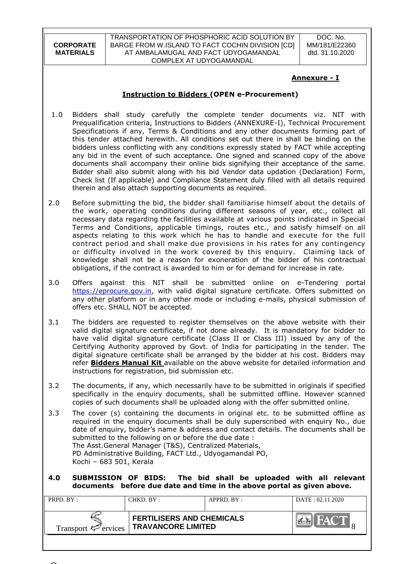TRANSPORTATION OF PHOSPHORIC ACID SOLUTION BY BARGE FROM W.ISLAND TO FACT COCHIN DIVISION [CD] AT AMBALAMUGAL AND FACT UDYOGAMANDAL COMPLEX AT UDYOGAMANDAL

DOC. No. MM/181/E22360 dtd. 31.10.2020

# **Annexure - I**

# **Instruction to Bidders (OPEN e-Procurement)**

- 1.0 Bidders shall study carefully the complete tender documents viz. NIT with Prequalification criteria, Instructions to Bidders (ANNEXURE-I), Technical Procurement Specifications if any, Terms & Conditions and any other documents forming part of this tender attached herewith. All conditions set out there in shall be binding on the bidders unless conflicting with any conditions expressly stated by FACT while accepting any bid in the event of such acceptance. One signed and scanned copy of the above documents shall accompany their online bids signifying their acceptance of the same. Bidder shall also submit along with his bid Vendor data updation (Declaration) Form, Check list (If applicable) and Compliance Statement duly filled with all details required therein and also attach supporting documents as required.
- 2.0 Before submitting the bid, the bidder shall familiarise himself about the details of the work, operating conditions during different seasons of year, etc., collect all necessary data regarding the facilities available at various points indicated in Special Terms and Conditions, applicable timings, routes etc., and satisfy himself on all aspects relating to this work which he has to handle and execute for the full contract period and shall make due provisions in his rates for any contingency or difficulty involved in the work covered by this enquiry. Claiming lack of knowledge shall not be a reason for exoneration of the bidder of his contractual obligations, if the contract is awarded to him or for demand for increase in rate.
- 3.0 Offers against this NIT shall be submitted online on e-Tendering portal [https://eprocure.gov.in,](https://eprocure.gov.in/) with valid digital signature certificate. Offers submitted on any other platform or in any other mode or including e-mails, physical submission of offers etc. SHALL NOT be accepted.
- 3.1 The bidders are requested to register themselves on the above website with their valid digital signature certificate, if not done already. It is mandatory for bidder to have valid digital signature certificate (Class II or Class III) issued by any of the Certifying Authority approved by Govt. of India for participating in the tender. The digital signature certificate shall be arranged by the bidder at his cost. Bidders may refer **Bidders Manual Kit** available on the above website for detailed information and instructions for registration, bid submission etc.
- 3.2 The documents, if any, which necessarily have to be submitted in originals if specified specifically in the enquiry documents, shall be submitted offline. However scanned copies of such documents shall be uploaded along with the offer submitted online.
- 3.3 The cover (s) containing the documents in original etc. to be submitted offline as required in the enquiry documents shall be duly superscribed with enquiry No., due date of enquiry, bidder"s name & address and contact details. The documents shall be submitted to the following on or before the due date : The Asst.General Manager (T&S), Centralized Materials, PD Administrative Building, FACT Ltd., Udyogamandal PO, Kochi – 683 501, Kerala

#### **4.0 SUBMISSION OF BIDS: The bid shall be uploaded with all relevant documents before due date and time in the above portal as given above.**

| PRPD $BY:$                      | CHKD. BY :                                                    | $APPRD$ $BY:$ | DATA: 02.11.2020 |
|---------------------------------|---------------------------------------------------------------|---------------|------------------|
| Transport $\mathcal{F}$ ervices | <b>FERTILISERS AND CHEMICALS</b><br><b>TRAVANCORE LIMITED</b> |               | $\mathbf{A}$     |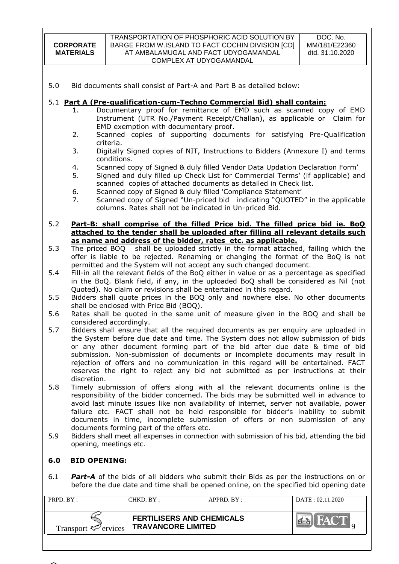#### TRANSPORTATION OF PHOSPHORIC ACID SOLUTION BY BARGE FROM W.ISLAND TO FACT COCHIN DIVISION [CD] AT AMBALAMUGAL AND FACT UDYOGAMANDAL COMPLEX AT UDYOGAMANDAL

5.0 Bid documents shall consist of Part-A and Part B as detailed below:

### 5.1 **Part A (Pre-qualification-cum-Techno Commercial Bid) shall contain:**

- 1. Documentary proof for remittance of EMD such as scanned copy of EMD Instrument (UTR No./Payment Receipt/Challan), as applicable or Claim for EMD exemption with documentary proof.
- 2. Scanned copies of supporting documents for satisfying Pre-Qualification criteria.
- 3. Digitally Signed copies of NIT, Instructions to Bidders (Annexure I) and terms conditions.
- 4. Scanned copy of Signed & duly filled Vendor Data Updation Declaration Form"
- 5. Signed and duly filled up Check List for Commercial Terms" (if applicable) and scanned copies of attached documents as detailed in Check list.
- 6. Scanned copy of Signed & duly filled "Compliance Statement"
- 7. Scanned copy of Signed "Un-priced bid indicating "QUOTED" in the applicable columns. Rates shall not be indicated in Un-priced Bid.

#### 5.2 **Part-B: shall comprise of the filled Price bid. The filled price bid ie. BoQ attached to the tender shall be uploaded after filling all relevant details such as name and address of the bidder, rates etc. as applicable.**

- 5.3 The priced BOQ shall be uploaded strictly in the format attached, failing which the offer is liable to be rejected. Renaming or changing the format of the BoQ is not permitted and the System will not accept any such changed document.
- 5.4 Fill-in all the relevant fields of the BoQ either in value or as a percentage as specified in the BoQ. Blank field, if any, in the uploaded BoQ shall be considered as Nil (not Quoted). No claim or revisions shall be entertained in this regard.
- 5.5 Bidders shall quote prices in the BOQ only and nowhere else. No other documents shall be enclosed with Price Bid (BOQ).
- 5.6 Rates shall be quoted in the same unit of measure given in the BOQ and shall be considered accordingly.
- 5.7 Bidders shall ensure that all the required documents as per enquiry are uploaded in the System before due date and time. The System does not allow submission of bids or any other document forming part of the bid after due date & time of bid submission. Non-submission of documents or incomplete documents may result in rejection of offers and no communication in this regard will be entertained. FACT reserves the right to reject any bid not submitted as per instructions at their discretion.
- 5.8 Timely submission of offers along with all the relevant documents online is the responsibility of the bidder concerned. The bids may be submitted well in advance to avoid last minute issues like non availability of internet, server not available, power failure etc. FACT shall not be held responsible for bidder"s inability to submit documents in time, incomplete submission of offers or non submission of any documents forming part of the offers etc.
- 5.9 Bidders shall meet all expenses in connection with submission of his bid, attending the bid opening, meetings etc.

# **6.0 BID OPENING:**

6.1 *Part-A* of the bids of all bidders who submit their Bids as per the instructions on or before the due date and time shall be opened online, on the specified bid opening date

| PRPD. $BY:$              | CHKD. BY :                                                    | $APPRD$ $BY$ : | DATA: 02.11.2020 |
|--------------------------|---------------------------------------------------------------|----------------|------------------|
| Transport $\leq$ ervices | <b>FERTILISERS AND CHEMICALS</b><br><b>TRAVANCORE LIMITED</b> |                |                  |

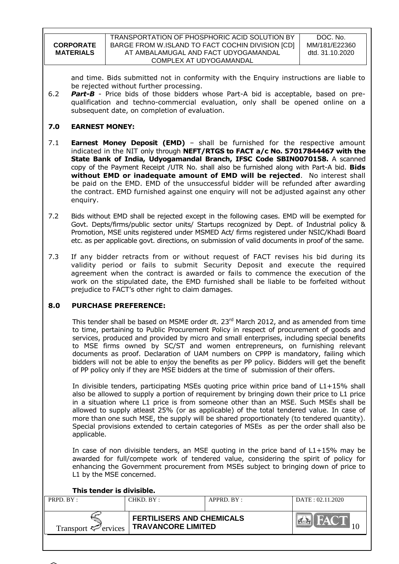and time. Bids submitted not in conformity with the Enquiry instructions are liable to be rejected without further processing.

6.2 *Part-B* - Price bids of those bidders whose Part-A bid is acceptable, based on prequalification and techno-commercial evaluation, only shall be opened online on a subsequent date, on completion of evaluation.

# **7.0 EARNEST MONEY:**

- 7.1 **Earnest Money Deposit (EMD)** shall be furnished for the respective amount indicated in the NIT only through **NEFT/RTGS to FACT a/c No. 57017844467 with the State Bank of India, Udyogamandal Branch, IFSC Code SBIN0070158.** A scanned copy of the Payment Receipt /UTR No. shall also be furnished along with Part-A bid. **Bids without EMD or inadequate amount of EMD will be rejected**. No interest shall be paid on the EMD. EMD of the unsuccessful bidder will be refunded after awarding the contract. EMD furnished against one enquiry will not be adjusted against any other enquiry.
- 7.2 Bids without EMD shall be rejected except in the following cases. EMD will be exempted for Govt. Depts/firms/public sector units/ Startups recognized by Dept. of Industrial policy & Promotion, MSE units registered under MSMED Act/ firms registered under NSIC/Khadi Board etc. as per applicable govt. directions, on submission of valid documents in proof of the same.
- 7.3 If any bidder retracts from or without request of FACT revises his bid during its validity period or fails to submit Security Deposit and execute the required agreement when the contract is awarded or fails to commence the execution of the work on the stipulated date, the EMD furnished shall be liable to be forfeited without prejudice to FACT"s other right to claim damages.

# **8.0 PURCHASE PREFERENCE:**

This tender shall be based on MSME order dt. 23<sup>rd</sup> March 2012, and as amended from time to time, pertaining to Public Procurement Policy in respect of procurement of goods and services, produced and provided by micro and small enterprises, including special benefits to MSE firms owned by SC/ST and women entrepreneurs, on furnishing relevant documents as proof. Declaration of UAM numbers on CPPP is mandatory, failing which bidders will not be able to enjoy the benefits as per PP policy. Bidders will get the benefit of PP policy only if they are MSE bidders at the time of submission of their offers.

In divisible tenders, participating MSEs quoting price within price band of L1+15% shall also be allowed to supply a portion of requirement by bringing down their price to L1 price in a situation where L1 price is from someone other than an MSE. Such MSEs shall be allowed to supply atleast 25% (or as applicable) of the total tendered value. In case of more than one such MSE, the supply will be shared proportionately (to tendered quantity). Special provisions extended to certain categories of MSEs as per the order shall also be applicable.

In case of non divisible tenders, an MSE quoting in the price band of L1+15% may be awarded for full/compete work of tendered value, considering the spirit of policy for enhancing the Government procurement from MSEs subject to bringing down of price to L1 by the MSE concerned.

|  | This tender is divisible. |  |  |  |
|--|---------------------------|--|--|--|
|--|---------------------------|--|--|--|

| PRPD. BY:                       | CHKD. BY :                                                    | $APPRD$ $BY:$ | DATA: 02.11.2020 |
|---------------------------------|---------------------------------------------------------------|---------------|------------------|
| Transport $\mathcal{P}$ ervices | <b>FERTILISERS AND CHEMICALS</b><br><b>TRAVANCORE LIMITED</b> |               | <b>MAY</b>       |

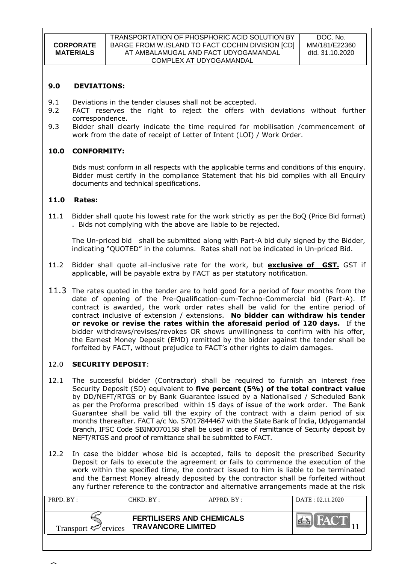#### **9.0 DEVIATIONS:**

- 9.1 Deviations in the tender clauses shall not be accepted.
- 9.2 FACT reserves the right to reject the offers with deviations without further correspondence.
- 9.3 Bidder shall clearly indicate the time required for mobilisation /commencement of work from the date of receipt of Letter of Intent (LOI) / Work Order.

### **10.0 CONFORMITY:**

Bids must conform in all respects with the applicable terms and conditions of this enquiry. Bidder must certify in the compliance Statement that his bid complies with all Enquiry documents and technical specifications.

### **11.0 Rates:**

11.1 Bidder shall quote his lowest rate for the work strictly as per the BoQ (Price Bid format) . Bids not complying with the above are liable to be rejected.

The Un-priced bid shall be submitted along with Part-A bid duly signed by the Bidder, indicating "QUOTED" in the columns. Rates shall not be indicated in Un-priced Bid.

- 11.2 Bidder shall quote all-inclusive rate for the work, but **exclusive of GST.** GST if applicable, will be payable extra by FACT as per statutory notification.
- 11.3 The rates quoted in the tender are to hold good for a period of four months from the date of opening of the Pre-Qualification-cum-Techno-Commercial bid (Part-A). If contract is awarded, the work order rates shall be valid for the entire period of contract inclusive of extension / extensions. **No bidder can withdraw his tender or revoke or revise the rates within the aforesaid period of 120 days.** If the bidder withdraws/revises/revokes OR shows unwillingness to confirm with his offer, the Earnest Money Deposit (EMD) remitted by the bidder against the tender shall be forfeited by FACT, without prejudice to FACT"s other rights to claim damages.

# 12.0 **SECURITY DEPOSIT**:

- 12.1 The successful bidder (Contractor) shall be required to furnish an interest free Security Deposit (SD) equivalent to **five percent (5%) of the total contract value**  by DD/NEFT/RTGS or by Bank Guarantee issued by a Nationalised / Scheduled Bank as per the Proforma prescribed within 15 days of issue of the work order. The Bank Guarantee shall be valid till the expiry of the contract with a claim period of six months thereafter. FACT a/c No. 57017844467 with the State Bank of India, Udyogamandal Branch, IFSC Code SBIN0070158 shall be used in case of remittance of Security deposit by NEFT/RTGS and proof of remittance shall be submitted to FACT.
- 12.2 In case the bidder whose bid is accepted, fails to deposit the prescribed Security Deposit or fails to execute the agreement or fails to commence the execution of the work within the specified time, the contract issued to him is liable to be terminated and the Earnest Money already deposited by the contractor shall be forfeited without any further reference to the contractor and alternative arrangements made at the risk

| PRPD. BY:                       | CHKD. BY :                                                    | APPRD. BY: | DATE: 02.11.2020 |
|---------------------------------|---------------------------------------------------------------|------------|------------------|
| Transport $\mathcal{F}$ ervices | <b>FERTILISERS AND CHEMICALS</b><br><b>TRAVANCORE LIMITED</b> |            |                  |

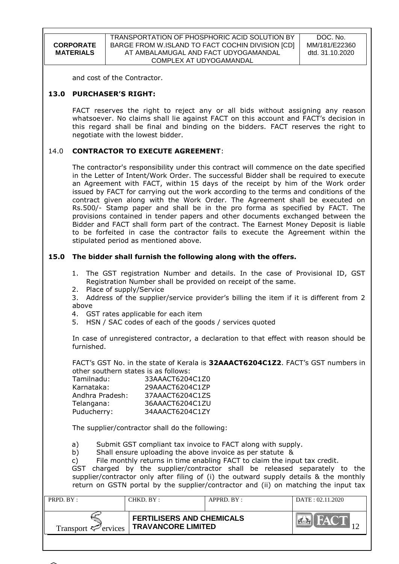DOC. No. MM/181/E22360 dtd. 31.10.2020

and cost of the Contractor.

### **13.0 PURCHASER'S RIGHT:**

FACT reserves the right to reject any or all bids without assigning any reason whatsoever. No claims shall lie against FACT on this account and FACT"s decision in this regard shall be final and binding on the bidders. FACT reserves the right to negotiate with the lowest bidder.

### 14.0 **CONTRACTOR TO EXECUTE AGREEMENT**:

The contractor's responsibility under this contract will commence on the date specified in the Letter of Intent/Work Order. The successful Bidder shall be required to execute an Agreement with FACT, within 15 days of the receipt by him of the Work order issued by FACT for carrying out the work according to the terms and conditions of the contract given along with the Work Order. The Agreement shall be executed on Rs.500/- Stamp paper and shall be in the pro forma as specified by FACT. The provisions contained in tender papers and other documents exchanged between the Bidder and FACT shall form part of the contract. The Earnest Money Deposit is liable to be forfeited in case the contractor fails to execute the Agreement within the stipulated period as mentioned above.

### **15.0 The bidder shall furnish the following along with the offers.**

- 1. The GST registration Number and details. In the case of Provisional ID, GST Registration Number shall be provided on receipt of the same.
- 2. Place of supply/Service

3. Address of the supplier/service provider"s billing the item if it is different from 2 above

- 4. GST rates applicable for each item
- 5. HSN / SAC codes of each of the goods / services quoted

In case of unregistered contractor, a declaration to that effect with reason should be furnished.

FACT"s GST No. in the state of Kerala is **32AAACT6204C1Z2**. FACT"s GST numbers in other southern states is as follows:

| Tamilnadu:      | 33AAACT6204C1Z0 |
|-----------------|-----------------|
| Karnataka:      | 29AAACT6204C1ZP |
| Andhra Pradesh: | 37AAACT6204C1ZS |
| Telangana:      | 36AAACT6204C1ZU |
| Puducherry:     | 34AAACT6204C1ZY |

The supplier/contractor shall do the following:

a) Submit GST compliant tax invoice to FACT along with supply.

b) Shall ensure uploading the above invoice as per statute &

c) File monthly returns in time enabling FACT to claim the input tax credit.

GST charged by the supplier/contractor shall be released separately to the supplier/contractor only after filing of (i) the outward supply details & the monthly return on GSTN portal by the supplier/contractor and (ii) on matching the input tax

| PRPD. BY:                       | CHKD. BY: | $APPRD$ $BY:$                                                 | DATA: 02.11.2020 |
|---------------------------------|-----------|---------------------------------------------------------------|------------------|
| Transport $\mathcal{F}$ ervices |           | <b>FERTILISERS AND CHEMICALS</b><br><b>TRAVANCORE LIMITED</b> |                  |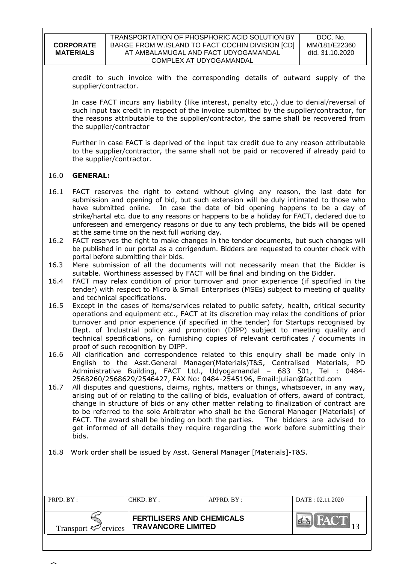| <b>CORPORATE</b> |
|------------------|
| <b>MATERIALS</b> |
|                  |

credit to such invoice with the corresponding details of outward supply of the supplier/contractor.

In case FACT incurs any liability (like interest, penalty etc.,) due to denial/reversal of such input tax credit in respect of the invoice submitted by the supplier/contractor, for the reasons attributable to the supplier/contractor, the same shall be recovered from the supplier/contractor

Further in case FACT is deprived of the input tax credit due to any reason attributable to the supplier/contractor, the same shall not be paid or recovered if already paid to the supplier/contractor.

### 16.0 **GENERAL:**

- 16.1 FACT reserves the right to extend without giving any reason, the last date for submission and opening of bid, but such extension will be duly intimated to those who have submitted online. In case the date of bid opening happens to be a day of strike/hartal etc. due to any reasons or happens to be a holiday for FACT, declared due to unforeseen and emergency reasons or due to any tech problems, the bids will be opened at the same time on the next full working day.
- 16.2 FACT reserves the right to make changes in the tender documents, but such changes will be published in our portal as a corrigendum. Bidders are requested to counter check with portal before submitting their bids.
- 16.3 Mere submission of all the documents will not necessarily mean that the Bidder is suitable. Worthiness assessed by FACT will be final and binding on the Bidder.
- 16.4 FACT may relax condition of prior turnover and prior experience (if specified in the tender) with respect to Micro & Small Enterprises (MSEs) subject to meeting of quality and technical specifications.
- 16.5 Except in the cases of items/services related to public safety, health, critical security operations and equipment etc., FACT at its discretion may relax the conditions of prior turnover and prior experience (if specified in the tender) for Startups recognised by Dept. of Industrial policy and promotion (DIPP) subject to meeting quality and technical specifications, on furnishing copies of relevant certificates / documents in proof of such recognition by DIPP.
- 16.6 All clarification and correspondence related to this enquiry shall be made only in English to the Asst.General Manager(Materials)T&S, Centralised Materials, PD Administrative Building, FACT Ltd., Udyogamandal – 683 501, Tel : 0484- 2568260/2568629/2546427, FAX No: 0484-2545196, Email:julian@factltd.com
- 16.7 All disputes and questions, claims, rights, matters or things, whatsoever, in any way, arising out of or relating to the calling of bids, evaluation of offers, award of contract, change in structure of bids or any other matter relating to finalization of contract are to be referred to the sole Arbitrator who shall be the General Manager [Materials] of FACT. The award shall be binding on both the parties. The bidders are advised to get informed of all details they require regarding the work before submitting their bids.
- 16.8 Work order shall be issued by Asst. General Manager [Materials]-T&S.

| PRPD. BY:                       | CHKD. BY :                                                    | $APPRD$ . $BY$ : | DATA: 02.11.2020 |
|---------------------------------|---------------------------------------------------------------|------------------|------------------|
| Transport $\mathcal{P}$ ervices | <b>FERTILISERS AND CHEMICALS</b><br><b>TRAVANCORE LIMITED</b> |                  |                  |

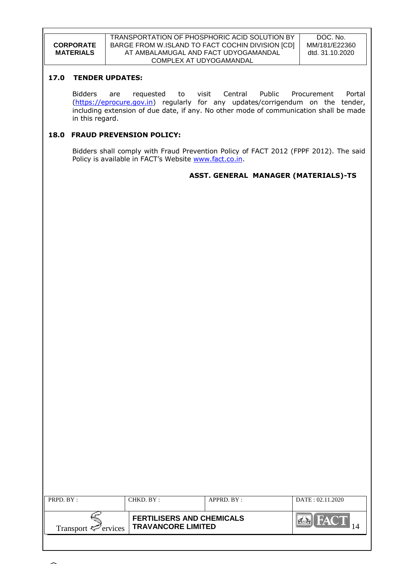#### TRANSPORTATION OF PHOSPHORIC ACID SOLUTION BY BARGE FROM W.ISLAND TO FACT COCHIN DIVISION [CD] AT AMBALAMUGAL AND FACT UDYOGAMANDAL COMPLEX AT UDYOGAMANDAL

DOC. No. MM/181/E22360 dtd. 31.10.2020

# **17.0 TENDER UPDATES:**

Bidders are requested to visit Central Public Procurement Portal [\(https://eprocure.gov.in\)](https://eprocure.gov.in/) regularly for any updates/corrigendum on the tender, including extension of due date, if any. No other mode of communication shall be made in this regard.

### **18.0 FRAUD PREVENSION POLICY:**

Bidders shall comply with Fraud Prevention Policy of FACT 2012 (FPPF 2012). The said Policy is available in FACT's Website [www.fact.co.in.](http://www.fact.co.in/)

### **ASST. GENERAL MANAGER (MATERIALS)-TS**

| PRPD. BY:                       | CHKD. BY:                                                     | $APPRD$ . $BY$ : | DATA: 02.11.2020 |
|---------------------------------|---------------------------------------------------------------|------------------|------------------|
| Transport $\mathcal{F}$ ervices | <b>FERTILISERS AND CHEMICALS</b><br><b>TRAVANCORE LIMITED</b> |                  | $\mathbb{Z}$ /A  |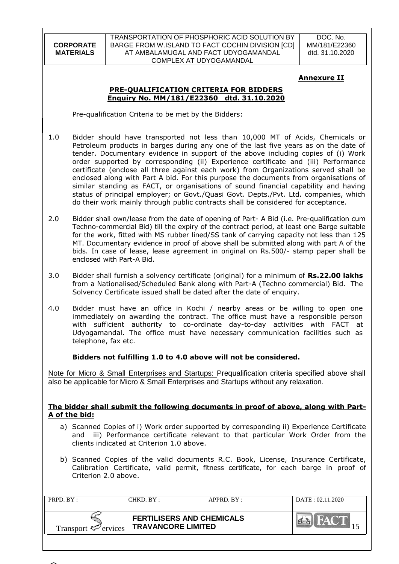TRANSPORTATION OF PHOSPHORIC ACID SOLUTION BY BARGE FROM W.ISLAND TO FACT COCHIN DIVISION [CD] AT AMBALAMUGAL AND FACT UDYOGAMANDAL COMPLEX AT UDYOGAMANDAL

DOC. No. MM/181/E22360 dtd. 31.10.2020

# **Annexure II**

### **PRE-QUALIFICATION CRITERIA FOR BIDDERS Enquiry No. MM/181/E22360 dtd. 31.10.2020**

Pre-qualification Criteria to be met by the Bidders:

- 1.0 Bidder should have transported not less than 10,000 MT of Acids, Chemicals or Petroleum products in barges during any one of the last five years as on the date of tender. Documentary evidence in support of the above including copies of (i) Work order supported by corresponding (ii) Experience certificate and (iii) Performance certificate (enclose all three against each work) from Organizations served shall be enclosed along with Part A bid. For this purpose the documents from organisations of similar standing as FACT, or organisations of sound financial capability and having status of principal employer; or Govt./Quasi Govt. Depts./Pvt. Ltd. companies, which do their work mainly through public contracts shall be considered for acceptance.
- 2.0 Bidder shall own/lease from the date of opening of Part- A Bid (i.e. Pre-qualification cum Techno-commercial Bid) till the expiry of the contract period, at least one Barge suitable for the work, fitted with MS rubber lined/SS tank of carrying capacity not less than 125 MT. Documentary evidence in proof of above shall be submitted along with part A of the bids. In case of lease, lease agreement in original on Rs.500/- stamp paper shall be enclosed with Part-A Bid.
- 3.0 Bidder shall furnish a solvency certificate (original) for a minimum of **Rs.22.00 lakhs** from a Nationalised/Scheduled Bank along with Part-A (Techno commercial) Bid. The Solvency Certificate issued shall be dated after the date of enquiry.
- 4.0 Bidder must have an office in Kochi / nearby areas or be willing to open one immediately on awarding the contract. The office must have a responsible person with sufficient authority to co-ordinate day-to-day activities with FACT at Udyogamandal. The office must have necessary communication facilities such as telephone, fax etc.

# **Bidders not fulfilling 1.0 to 4.0 above will not be considered.**

Note for Micro & Small Enterprises and Startups: Prequalification criteria specified above shall also be applicable for Micro & Small Enterprises and Startups without any relaxation.

### **The bidder shall submit the following documents in proof of above, along with Part-A of the bid:**

- a) Scanned Copies of i) Work order supported by corresponding ii) Experience Certificate and iii) Performance certificate relevant to that particular Work Order from the clients indicated at Criterion 1.0 above.
- b) Scanned Copies of the valid documents R.C. Book, License, Insurance Certificate, Calibration Certificate, valid permit, fitness certificate, for each barge in proof of Criterion 2.0 above.

| PRPD. BY:                       | CHKD. BY :                                                    | APPRD. BY: | DATA: 02.11.2020 |
|---------------------------------|---------------------------------------------------------------|------------|------------------|
| Transport $\mathcal{F}$ ervices | <b>FERTILISERS AND CHEMICALS</b><br><b>TRAVANCORE LIMITED</b> |            |                  |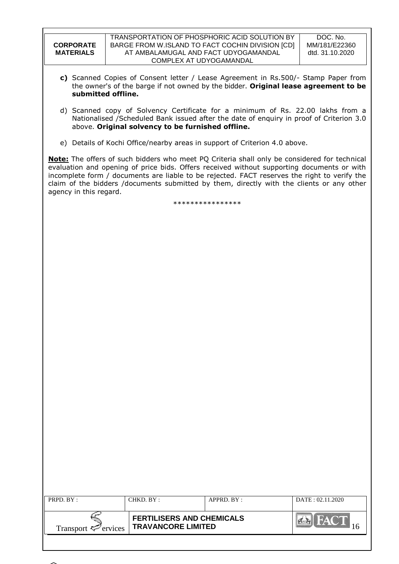| <b>CORPORATE</b><br><b>MATERIALS</b> | TRANSPORTATION OF PHOSPHORIC ACID SOLUTION BY<br>BARGE FROM W.ISLAND TO FACT COCHIN DIVISION [CD]<br>AT AMBALAMUGAL AND FACT UDYOGAMANDAL<br>COMPLEX AT UDYOGAMANDAL                                                                                                                                                                                                                    |                  | DOC. No.<br>MM/181/E22360<br>dtd. 31.10.2020 |  |  |
|--------------------------------------|-----------------------------------------------------------------------------------------------------------------------------------------------------------------------------------------------------------------------------------------------------------------------------------------------------------------------------------------------------------------------------------------|------------------|----------------------------------------------|--|--|
|                                      | c) Scanned Copies of Consent letter / Lease Agreement in Rs.500/- Stamp Paper from<br>the owner's of the barge if not owned by the bidder. Original lease agreement to be<br>submitted offline.                                                                                                                                                                                         |                  |                                              |  |  |
|                                      | d) Scanned copy of Solvency Certificate for a minimum of Rs. 22.00 lakhs from a<br>Nationalised /Scheduled Bank issued after the date of enquiry in proof of Criterion 3.0<br>above. Original solvency to be furnished offline.                                                                                                                                                         |                  |                                              |  |  |
|                                      | e) Details of Kochi Office/nearby areas in support of Criterion 4.0 above.                                                                                                                                                                                                                                                                                                              |                  |                                              |  |  |
| agency in this regard.               | Note: The offers of such bidders who meet PQ Criteria shall only be considered for technical<br>evaluation and opening of price bids. Offers received without supporting documents or with<br>incomplete form / documents are liable to be rejected. FACT reserves the right to verify the<br>claim of the bidders /documents submitted by them, directly with the clients or any other |                  |                                              |  |  |
|                                      |                                                                                                                                                                                                                                                                                                                                                                                         | **************** |                                              |  |  |
|                                      |                                                                                                                                                                                                                                                                                                                                                                                         |                  |                                              |  |  |
|                                      |                                                                                                                                                                                                                                                                                                                                                                                         |                  |                                              |  |  |
|                                      |                                                                                                                                                                                                                                                                                                                                                                                         |                  |                                              |  |  |
|                                      |                                                                                                                                                                                                                                                                                                                                                                                         |                  |                                              |  |  |
|                                      |                                                                                                                                                                                                                                                                                                                                                                                         |                  |                                              |  |  |
|                                      |                                                                                                                                                                                                                                                                                                                                                                                         |                  |                                              |  |  |
|                                      |                                                                                                                                                                                                                                                                                                                                                                                         |                  |                                              |  |  |
|                                      |                                                                                                                                                                                                                                                                                                                                                                                         |                  |                                              |  |  |
|                                      |                                                                                                                                                                                                                                                                                                                                                                                         |                  |                                              |  |  |
|                                      |                                                                                                                                                                                                                                                                                                                                                                                         |                  |                                              |  |  |
|                                      |                                                                                                                                                                                                                                                                                                                                                                                         |                  |                                              |  |  |
|                                      |                                                                                                                                                                                                                                                                                                                                                                                         |                  |                                              |  |  |
|                                      |                                                                                                                                                                                                                                                                                                                                                                                         |                  |                                              |  |  |
|                                      |                                                                                                                                                                                                                                                                                                                                                                                         |                  |                                              |  |  |
|                                      |                                                                                                                                                                                                                                                                                                                                                                                         |                  |                                              |  |  |
|                                      |                                                                                                                                                                                                                                                                                                                                                                                         |                  |                                              |  |  |
| PRPD. BY:                            | CHKD. BY:                                                                                                                                                                                                                                                                                                                                                                               | APPRD. BY:       | DATE: 02.11.2020                             |  |  |
|                                      | <b>FERTILISERS AND CHEMICALS</b>                                                                                                                                                                                                                                                                                                                                                        |                  | <b>CALLEACT</b>                              |  |  |

**TRAVANCORE LIMITED** 16

Transport  $\epsilon$ <sup>-</sup> ervices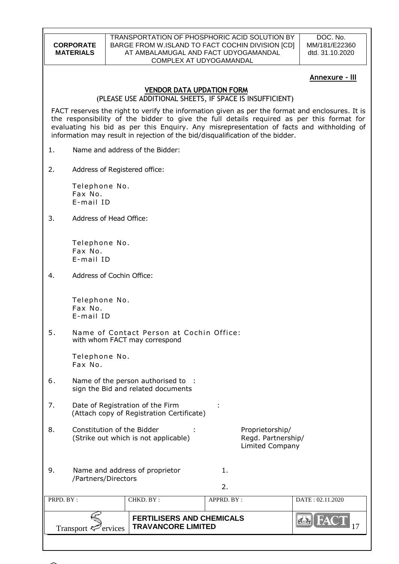#### TRANSPORTATION OF PHOSPHORIC ACID SOLUTION BY BARGE FROM W.ISLAND TO FACT COCHIN DIVISION [CD] AT AMBALAMUGAL AND FACT UDYOGAMANDAL COMPLEX AT UDYOGAMANDAL

DOC. No. MM/181/E22360 dtd. 31.10.2020

# **Annexure - III**

### **VENDOR DATA UPDATION FORM**

(PLEASE USE ADDITIONAL SHEETS, IF SPACE IS INSUFFICIENT)

FACT reserves the right to verify the information given as per the format and enclosures. It is the responsibility of the bidder to give the full details required as per this format for evaluating his bid as per this Enquiry. Any misrepresentation of facts and withholding of information may result in rejection of the bid/disqualification of the bidder.

- 1. Name and address of the Bidder:
- 2. Address of Registered office:

Telephone No. Fax No. E-mail ID

3. Address of Head Office:

Telephone No. Fax No. E-mail ID

4. Address of Cochin Office:

Telephone No. Fax No. E-mail ID

5. Name of Contact Person at Cochin Office: with whom FACT may correspond

> Telephone No. Fax No.

- 6. Name of the person authorised to : sign the Bid and related documents
- 7. Date of Registration of the Firm : (Attach copy of Registration Certificate)
- 8. Constitution of the Bidder : Proprietorship/ (Strike out which is not applicable) Regd. Partnership/

Limited Company

| 9. | Name and address of proprietor | 1. |
|----|--------------------------------|----|
|    | /Partners/Directors            |    |

2.

| PRPD. BY:                | CHKD. BY:                                                     | $APPRD$ . $BY$ : | DATA: 02.11.2020 |
|--------------------------|---------------------------------------------------------------|------------------|------------------|
| Transport $\leq$ ervices | <b>FERTILISERS AND CHEMICALS</b><br><b>TRAVANCORE LIMITED</b> |                  | <b>NATE</b>      |

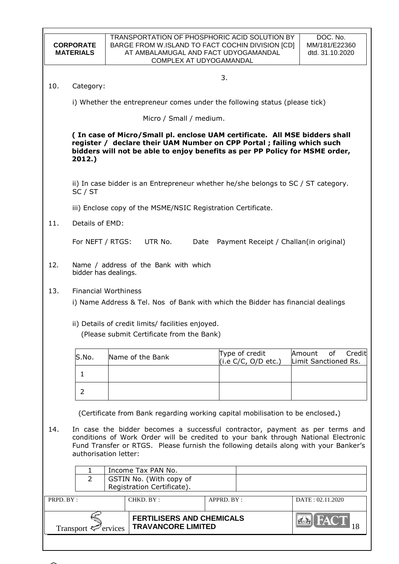| <b>CORPORATE</b><br><b>MATERIALS</b> |                                                                                                                                                                                                                                                                                     |         | TRANSPORTATION OF PHOSPHORIC ACID SOLUTION BY<br>BARGE FROM W.ISLAND TO FACT COCHIN DIVISION [CD]<br>AT AMBALAMUGAL AND FACT UDYOGAMANDAL<br>COMPLEX AT UDYOGAMANDAL |      |             |                                       | DOC. No.<br>MM/181/E22360<br>dtd. 31.10.2020                                                                                                              |
|--------------------------------------|-------------------------------------------------------------------------------------------------------------------------------------------------------------------------------------------------------------------------------------------------------------------------------------|---------|----------------------------------------------------------------------------------------------------------------------------------------------------------------------|------|-------------|---------------------------------------|-----------------------------------------------------------------------------------------------------------------------------------------------------------|
|                                      |                                                                                                                                                                                                                                                                                     |         |                                                                                                                                                                      |      | 3.          |                                       |                                                                                                                                                           |
| 10.                                  | Category:                                                                                                                                                                                                                                                                           |         |                                                                                                                                                                      |      |             |                                       |                                                                                                                                                           |
|                                      |                                                                                                                                                                                                                                                                                     |         | i) Whether the entrepreneur comes under the following status (please tick)                                                                                           |      |             |                                       |                                                                                                                                                           |
|                                      |                                                                                                                                                                                                                                                                                     |         | Micro / Small / medium.                                                                                                                                              |      |             |                                       |                                                                                                                                                           |
|                                      | 2012.)                                                                                                                                                                                                                                                                              |         | register / declare their UAM Number on CPP Portal ; failing which such                                                                                               |      |             |                                       | (In case of Micro/Small pl. enclose UAM certificate. All MSE bidders shall<br>bidders will not be able to enjoy benefits as per PP Policy for MSME order, |
|                                      | SC / ST                                                                                                                                                                                                                                                                             |         |                                                                                                                                                                      |      |             |                                       | ii) In case bidder is an Entrepreneur whether he/she belongs to SC / ST category.                                                                         |
|                                      |                                                                                                                                                                                                                                                                                     |         | iii) Enclose copy of the MSME/NSIC Registration Certificate.                                                                                                         |      |             |                                       |                                                                                                                                                           |
| 11.                                  | Details of EMD:                                                                                                                                                                                                                                                                     |         |                                                                                                                                                                      |      |             |                                       |                                                                                                                                                           |
|                                      | For NEFT / RTGS:                                                                                                                                                                                                                                                                    |         | UTR No.                                                                                                                                                              | Date |             |                                       | Payment Receipt / Challan(in original)                                                                                                                    |
| 12.                                  | bidder has dealings.                                                                                                                                                                                                                                                                |         | Name / address of the Bank with which                                                                                                                                |      |             |                                       |                                                                                                                                                           |
| 13.                                  | <b>Financial Worthiness</b>                                                                                                                                                                                                                                                         |         |                                                                                                                                                                      |      |             |                                       | i) Name Address & Tel. Nos of Bank with which the Bidder has financial dealings                                                                           |
|                                      |                                                                                                                                                                                                                                                                                     |         | ii) Details of credit limits/ facilities enjoyed.<br>(Please submit Certificate from the Bank)                                                                       |      |             |                                       |                                                                                                                                                           |
|                                      | S.No.                                                                                                                                                                                                                                                                               |         | Name of the Bank                                                                                                                                                     |      |             | Type of credit<br>(i.e C/C, O/D etc.) | Credit<br>Amount<br>of<br>Limit Sanctioned Rs.                                                                                                            |
|                                      | $\mathbf{1}$                                                                                                                                                                                                                                                                        |         |                                                                                                                                                                      |      |             |                                       |                                                                                                                                                           |
|                                      | 2                                                                                                                                                                                                                                                                                   |         |                                                                                                                                                                      |      |             |                                       |                                                                                                                                                           |
|                                      |                                                                                                                                                                                                                                                                                     |         | (Certificate from Bank regarding working capital mobilisation to be enclosed.)                                                                                       |      |             |                                       |                                                                                                                                                           |
| 14.                                  | In case the bidder becomes a successful contractor, payment as per terms and<br>conditions of Work Order will be credited to your bank through National Electronic<br>Fund Transfer or RTGS. Please furnish the following details along with your Banker's<br>authorisation letter: |         |                                                                                                                                                                      |      |             |                                       |                                                                                                                                                           |
| Income Tax PAN No.<br>1              |                                                                                                                                                                                                                                                                                     |         |                                                                                                                                                                      |      |             |                                       |                                                                                                                                                           |
|                                      | $\overline{2}$                                                                                                                                                                                                                                                                      |         | GSTIN No. (With copy of<br>Registration Certificate).                                                                                                                |      |             |                                       |                                                                                                                                                           |
| PRPD. BY:                            |                                                                                                                                                                                                                                                                                     |         | CHKD. BY:                                                                                                                                                            |      | APPRD. BY : |                                       | DATE: 02.11.2020                                                                                                                                          |
|                                      |                                                                                                                                                                                                                                                                                     |         | <b>FERTILISERS AND CHEMICALS</b><br><b>TRAVANCORE LIMITED</b>                                                                                                        |      |             |                                       | 18                                                                                                                                                        |
|                                      | Transport ₹                                                                                                                                                                                                                                                                         | ervices |                                                                                                                                                                      |      |             |                                       |                                                                                                                                                           |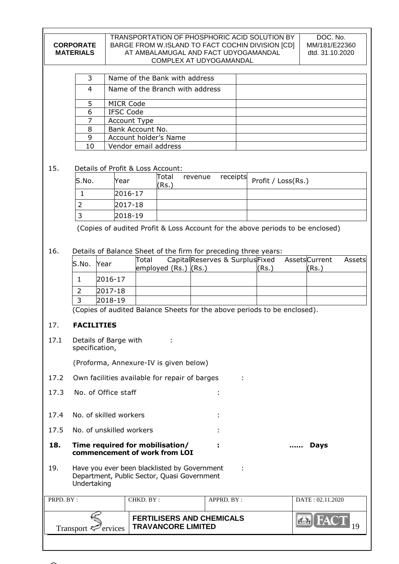#### TRANSPORTATION OF PHOSPHORIC ACID SOLUTION BY BARGE FROM W.ISLAND TO FACT COCHIN DIVISION [CD] AT AMBALAMUGAL AND FACT UDYOGAMANDAL COMPLEX AT UDYOGAMANDAL

| 3  | Name of the Bank with address   |  |
|----|---------------------------------|--|
| 4  | Name of the Branch with address |  |
|    | <b>MICR Code</b>                |  |
| 6  | <b>IFSC Code</b>                |  |
|    | Account Type                    |  |
| 8  | Bank Account No.                |  |
| 9  | Account holder's Name           |  |
| 10 | Vendor email address            |  |

# 15. Details of Profit & Loss Account:

| S.No. | Year    | Total<br>(Rs. | revenue | $\sqrt{\frac{1}{2}}$ receipts Profit / Loss(Rs.) |
|-------|---------|---------------|---------|--------------------------------------------------|
|       | 2016-17 |               |         |                                                  |
|       | 2017-18 |               |         |                                                  |
|       | 2018-19 |               |         |                                                  |

(Copies of audited Profit & Loss Account for the above periods to be enclosed)

16. Details of Balance Sheet of the firm for preceding three years:

| S.No. | Year        | Total<br>employed $(Rs.)$ $(Rs.)$ | CapitalReserves & SurplusFixed AssetsCurrent | (Rs. | Assetsl<br>(Rs. |
|-------|-------------|-----------------------------------|----------------------------------------------|------|-----------------|
|       | $2016 - 17$ |                                   |                                              |      |                 |
|       | 2017-18     |                                   |                                              |      |                 |
|       | 2018-19     |                                   |                                              |      |                 |

(Copies of audited Balance Sheets for the above periods to be enclosed).

# 17. **FACILITIES**

| 17.1      | Details of Barge with<br>specification,                                                                    |                                                                  |            |                  |  |
|-----------|------------------------------------------------------------------------------------------------------------|------------------------------------------------------------------|------------|------------------|--|
|           |                                                                                                            | (Proforma, Annexure-IV is given below)                           |            |                  |  |
| 17.2      |                                                                                                            | Own facilities available for repair of barges                    |            |                  |  |
| 17.3      | No. of Office staff                                                                                        |                                                                  |            |                  |  |
| 17.4      | No. of skilled workers                                                                                     |                                                                  |            |                  |  |
| 17.5      | No. of unskilled workers                                                                                   |                                                                  |            |                  |  |
| 18.       |                                                                                                            | Time required for mobilisation/<br>commencement of work from LOI |            | Days             |  |
| 19.       | Have you ever been blacklisted by Government<br>Department, Public Sector, Quasi Government<br>Undertaking |                                                                  |            |                  |  |
| PRPD. BY: |                                                                                                            | CHKD. BY:                                                        | APPRD. BY: | DATE: 02.11.2020 |  |
|           | <b>Transport</b><br>ervices                                                                                | <b>FERTILISERS AND CHEMICALS</b><br><b>TRAVANCORE LIMITED</b>    |            |                  |  |

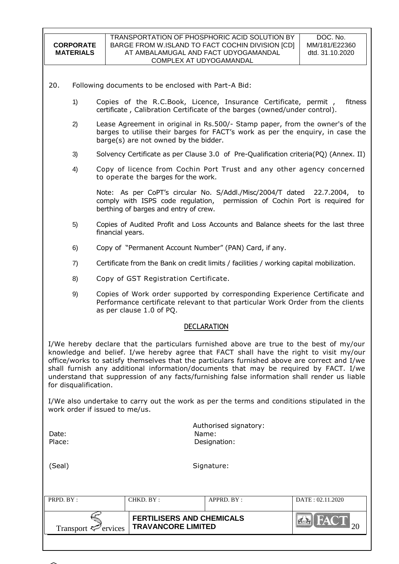| 20.<br>Following documents to be enclosed with Part-A Bid:<br>Copies of the R.C.Book, Licence, Insurance Certificate, permit,<br>1)<br>fitness<br>certificate, Calibration Certificate of the barges (owned/under control).<br>Lease Agreement in original in Rs.500/- Stamp paper, from the owner's of the<br>2)<br>barges to utilise their barges for FACT's work as per the enquiry, in case the<br>barge(s) are not owned by the bidder.<br>Solvency Certificate as per Clause 3.0 of Pre-Qualification criteria(PQ) (Annex. II)<br>3)<br>Copy of licence from Cochin Port Trust and any other agency concerned<br>4)<br>to operate the barges for the work.<br>Note: As per CoPT's circular No. S/Addl./Misc/2004/T dated 22.7.2004, to<br>comply with ISPS code regulation,<br>permission of Cochin Port is required for<br>berthing of barges and entry of crew.<br>Copies of Audited Profit and Loss Accounts and Balance sheets for the last three<br>5)<br>financial years.<br>Copy of "Permanent Account Number" (PAN) Card, if any.<br>6)<br>Certificate from the Bank on credit limits / facilities / working capital mobilization.<br>7)<br>Copy of GST Registration Certificate.<br>8)<br>Copies of Work order supported by corresponding Experience Certificate and<br>9)<br>Performance certificate relevant to that particular Work Order from the clients<br>as per clause 1.0 of PQ.<br><b>DECLARATION</b><br>I/We hereby declare that the particulars furnished above are true to the best of my/our<br>knowledge and belief. I/we hereby agree that FACT shall have the right to visit my/our<br>office/works to satisfy themselves that the particulars furnished above are correct and I/we<br>shall furnish any additional information/documents that may be required by FACT. I/we<br>understand that suppression of any facts/furnishing false information shall render us liable<br>for disqualification.<br>I/We also undertake to carry out the work as per the terms and conditions stipulated in the<br>work order if issued to me/us.<br>Authorised signatory:<br>Name:<br>Date:<br>Place:<br>Designation:<br>(Seal)<br>Signature: | <b>CORPORATE</b><br><b>MATERIALS</b> | TRANSPORTATION OF PHOSPHORIC ACID SOLUTION BY<br>DOC. No.<br>BARGE FROM W.ISLAND TO FACT COCHIN DIVISION [CD]<br>MM/181/E22360<br>AT AMBALAMUGAL AND FACT UDYOGAMANDAL<br>dtd. 31.10.2020<br>COMPLEX AT UDYOGAMANDAL |  |  |
|---------------------------------------------------------------------------------------------------------------------------------------------------------------------------------------------------------------------------------------------------------------------------------------------------------------------------------------------------------------------------------------------------------------------------------------------------------------------------------------------------------------------------------------------------------------------------------------------------------------------------------------------------------------------------------------------------------------------------------------------------------------------------------------------------------------------------------------------------------------------------------------------------------------------------------------------------------------------------------------------------------------------------------------------------------------------------------------------------------------------------------------------------------------------------------------------------------------------------------------------------------------------------------------------------------------------------------------------------------------------------------------------------------------------------------------------------------------------------------------------------------------------------------------------------------------------------------------------------------------------------------------------------------------------------------------------------------------------------------------------------------------------------------------------------------------------------------------------------------------------------------------------------------------------------------------------------------------------------------------------------------------------------------------------------------------------------------------------------------------------------------------------------------------------|--------------------------------------|----------------------------------------------------------------------------------------------------------------------------------------------------------------------------------------------------------------------|--|--|
|                                                                                                                                                                                                                                                                                                                                                                                                                                                                                                                                                                                                                                                                                                                                                                                                                                                                                                                                                                                                                                                                                                                                                                                                                                                                                                                                                                                                                                                                                                                                                                                                                                                                                                                                                                                                                                                                                                                                                                                                                                                                                                                                                                     |                                      |                                                                                                                                                                                                                      |  |  |
|                                                                                                                                                                                                                                                                                                                                                                                                                                                                                                                                                                                                                                                                                                                                                                                                                                                                                                                                                                                                                                                                                                                                                                                                                                                                                                                                                                                                                                                                                                                                                                                                                                                                                                                                                                                                                                                                                                                                                                                                                                                                                                                                                                     |                                      |                                                                                                                                                                                                                      |  |  |
|                                                                                                                                                                                                                                                                                                                                                                                                                                                                                                                                                                                                                                                                                                                                                                                                                                                                                                                                                                                                                                                                                                                                                                                                                                                                                                                                                                                                                                                                                                                                                                                                                                                                                                                                                                                                                                                                                                                                                                                                                                                                                                                                                                     |                                      |                                                                                                                                                                                                                      |  |  |
|                                                                                                                                                                                                                                                                                                                                                                                                                                                                                                                                                                                                                                                                                                                                                                                                                                                                                                                                                                                                                                                                                                                                                                                                                                                                                                                                                                                                                                                                                                                                                                                                                                                                                                                                                                                                                                                                                                                                                                                                                                                                                                                                                                     |                                      |                                                                                                                                                                                                                      |  |  |
|                                                                                                                                                                                                                                                                                                                                                                                                                                                                                                                                                                                                                                                                                                                                                                                                                                                                                                                                                                                                                                                                                                                                                                                                                                                                                                                                                                                                                                                                                                                                                                                                                                                                                                                                                                                                                                                                                                                                                                                                                                                                                                                                                                     |                                      |                                                                                                                                                                                                                      |  |  |
|                                                                                                                                                                                                                                                                                                                                                                                                                                                                                                                                                                                                                                                                                                                                                                                                                                                                                                                                                                                                                                                                                                                                                                                                                                                                                                                                                                                                                                                                                                                                                                                                                                                                                                                                                                                                                                                                                                                                                                                                                                                                                                                                                                     |                                      |                                                                                                                                                                                                                      |  |  |
|                                                                                                                                                                                                                                                                                                                                                                                                                                                                                                                                                                                                                                                                                                                                                                                                                                                                                                                                                                                                                                                                                                                                                                                                                                                                                                                                                                                                                                                                                                                                                                                                                                                                                                                                                                                                                                                                                                                                                                                                                                                                                                                                                                     |                                      |                                                                                                                                                                                                                      |  |  |
|                                                                                                                                                                                                                                                                                                                                                                                                                                                                                                                                                                                                                                                                                                                                                                                                                                                                                                                                                                                                                                                                                                                                                                                                                                                                                                                                                                                                                                                                                                                                                                                                                                                                                                                                                                                                                                                                                                                                                                                                                                                                                                                                                                     |                                      |                                                                                                                                                                                                                      |  |  |
|                                                                                                                                                                                                                                                                                                                                                                                                                                                                                                                                                                                                                                                                                                                                                                                                                                                                                                                                                                                                                                                                                                                                                                                                                                                                                                                                                                                                                                                                                                                                                                                                                                                                                                                                                                                                                                                                                                                                                                                                                                                                                                                                                                     |                                      |                                                                                                                                                                                                                      |  |  |
|                                                                                                                                                                                                                                                                                                                                                                                                                                                                                                                                                                                                                                                                                                                                                                                                                                                                                                                                                                                                                                                                                                                                                                                                                                                                                                                                                                                                                                                                                                                                                                                                                                                                                                                                                                                                                                                                                                                                                                                                                                                                                                                                                                     |                                      |                                                                                                                                                                                                                      |  |  |
|                                                                                                                                                                                                                                                                                                                                                                                                                                                                                                                                                                                                                                                                                                                                                                                                                                                                                                                                                                                                                                                                                                                                                                                                                                                                                                                                                                                                                                                                                                                                                                                                                                                                                                                                                                                                                                                                                                                                                                                                                                                                                                                                                                     |                                      |                                                                                                                                                                                                                      |  |  |
|                                                                                                                                                                                                                                                                                                                                                                                                                                                                                                                                                                                                                                                                                                                                                                                                                                                                                                                                                                                                                                                                                                                                                                                                                                                                                                                                                                                                                                                                                                                                                                                                                                                                                                                                                                                                                                                                                                                                                                                                                                                                                                                                                                     |                                      |                                                                                                                                                                                                                      |  |  |
|                                                                                                                                                                                                                                                                                                                                                                                                                                                                                                                                                                                                                                                                                                                                                                                                                                                                                                                                                                                                                                                                                                                                                                                                                                                                                                                                                                                                                                                                                                                                                                                                                                                                                                                                                                                                                                                                                                                                                                                                                                                                                                                                                                     |                                      |                                                                                                                                                                                                                      |  |  |
|                                                                                                                                                                                                                                                                                                                                                                                                                                                                                                                                                                                                                                                                                                                                                                                                                                                                                                                                                                                                                                                                                                                                                                                                                                                                                                                                                                                                                                                                                                                                                                                                                                                                                                                                                                                                                                                                                                                                                                                                                                                                                                                                                                     |                                      |                                                                                                                                                                                                                      |  |  |
|                                                                                                                                                                                                                                                                                                                                                                                                                                                                                                                                                                                                                                                                                                                                                                                                                                                                                                                                                                                                                                                                                                                                                                                                                                                                                                                                                                                                                                                                                                                                                                                                                                                                                                                                                                                                                                                                                                                                                                                                                                                                                                                                                                     |                                      |                                                                                                                                                                                                                      |  |  |
|                                                                                                                                                                                                                                                                                                                                                                                                                                                                                                                                                                                                                                                                                                                                                                                                                                                                                                                                                                                                                                                                                                                                                                                                                                                                                                                                                                                                                                                                                                                                                                                                                                                                                                                                                                                                                                                                                                                                                                                                                                                                                                                                                                     |                                      |                                                                                                                                                                                                                      |  |  |

| PRPD. BY:                       | CHKD. BY:                                                     | APPRD. BY: | DATE: 02.11.2020 |
|---------------------------------|---------------------------------------------------------------|------------|------------------|
| Transport $\mathcal{F}$ ervices | <b>FERTILISERS AND CHEMICALS</b><br><b>TRAVANCORE LIMITED</b> |            |                  |

 $\mathsf{l}$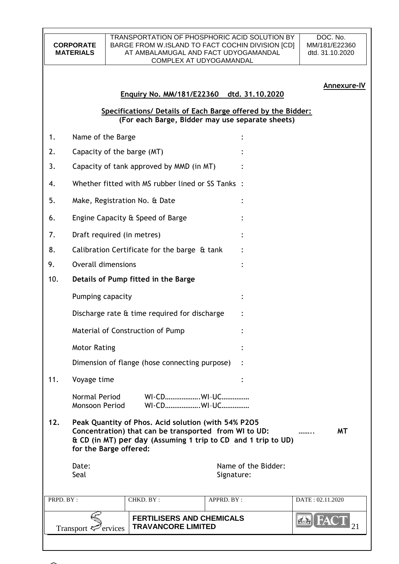#### TRANSPORTATION OF PHOSPHORIC ACID SOLUTION BY BARGE FROM W.ISLAND TO FACT COCHIN DIVISION [CD] AT AMBALAMUGAL AND FACT UDYOGAMANDAL COMPLEX AT UDYOGAMANDAL

DOC. No. MM/181/E22360 dtd. 31.10.2020

#### **Annexure-IV**

# **Enquiry No. MM/181/E22360 dtd. 31.10.2020**

**Specifications/ Details of Each Barge offered by the Bidder: (For each Barge, Bidder may use separate sheets)**

|           | Transport $\overline{\mathbf{z}}$<br>ervices | <b>FERTILISERS AND CHEMICALS</b><br><b>TRAVANCORE LIMITED</b>                                                                                                                 |            |                     | FAC              |
|-----------|----------------------------------------------|-------------------------------------------------------------------------------------------------------------------------------------------------------------------------------|------------|---------------------|------------------|
| PRPD. BY: |                                              | CHKD. BY:                                                                                                                                                                     | APPRD. BY: |                     | DATE: 02.11.2020 |
|           | Date:<br>Seal                                |                                                                                                                                                                               | Signature: | Name of the Bidder: |                  |
| 12.       | for the Barge offered:                       | Peak Quantity of Phos. Acid solution (with 54% P205<br>Concentration) that can be transported from WI to UD:<br>& CD (in MT) per day (Assuming 1 trip to CD and 1 trip to UD) |            |                     | <b>MT</b>        |
|           | Normal Period<br>Monsoon Period              | WI-CDWI-UC<br>WI-CDWI-UC                                                                                                                                                      |            |                     |                  |
| 11.       | Voyage time                                  |                                                                                                                                                                               |            |                     |                  |
|           |                                              | Dimension of flange (hose connecting purpose)                                                                                                                                 |            |                     |                  |
|           | <b>Motor Rating</b>                          |                                                                                                                                                                               |            |                     |                  |
|           |                                              | Material of Construction of Pump                                                                                                                                              |            |                     |                  |
|           |                                              | Discharge rate & time required for discharge                                                                                                                                  |            |                     |                  |
|           | Pumping capacity                             |                                                                                                                                                                               |            |                     |                  |
| 10.       |                                              | Details of Pump fitted in the Barge                                                                                                                                           |            |                     |                  |
| 9.        | <b>Overall dimensions</b>                    |                                                                                                                                                                               |            |                     |                  |
| 8.        |                                              | Calibration Certificate for the barge & tank                                                                                                                                  |            |                     |                  |
| 7.        | Draft required (in metres)                   |                                                                                                                                                                               |            |                     |                  |
| 6.        |                                              | Engine Capacity & Speed of Barge                                                                                                                                              |            |                     |                  |
| 5.        | Make, Registration No. & Date                |                                                                                                                                                                               |            |                     |                  |
| 4.        |                                              | Whether fitted with MS rubber lined or SS Tanks :                                                                                                                             |            |                     |                  |
| 3.        |                                              | Capacity of tank approved by MMD (in MT)                                                                                                                                      |            |                     |                  |
| 2.        | Capacity of the barge (MT)                   |                                                                                                                                                                               |            |                     |                  |
| 1.        | Name of the Barge                            |                                                                                                                                                                               |            |                     |                  |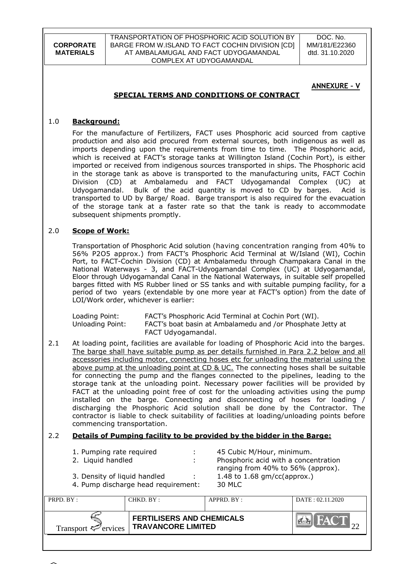TRANSPORTATION OF PHOSPHORIC ACID SOLUTION BY BARGE FROM W.ISLAND TO FACT COCHIN DIVISION [CD] AT AMBALAMUGAL AND FACT UDYOGAMANDAL COMPLEX AT UDYOGAMANDAL

DOC. No. MM/181/E22360 dtd. 31.10.2020

### **ANNEXURE – V**

# **SPECIAL TERMS AND CONDITIONS OF CONTRACT**

#### 1.0 **Background:**

For the manufacture of Fertilizers, FACT uses Phosphoric acid sourced from captive production and also acid procured from external sources, both indigenous as well as imports depending upon the requirements from time to time. The Phosphoric acid, which is received at FACT"s storage tanks at Willington Island (Cochin Port), is either imported or received from indigenous sources transported in ships. The Phosphoric acid in the storage tank as above is transported to the manufacturing units, FACT Cochin Division (CD) at Ambalamedu and FACT Udyogamandal Complex (UC) at Udyogamandal. Bulk of the acid quantity is moved to CD by barges. Acid is transported to UD by Barge/ Road. Barge transport is also required for the evacuation of the storage tank at a faster rate so that the tank is ready to accommodate subsequent shipments promptly.

#### 2.0 **Scope of Work:**

Transportation of Phosphoric Acid solution (having concentration ranging from 40% to 56% P2O5 approx.) from FACT"s Phosphoric Acid Terminal at W/Island (WI), Cochin Port, to FACT-Cochin Division (CD) at Ambalamedu through Champakara Canal in the National Waterways - 3, and FACT-Udyogamandal Complex (UC) at Udyogamandal, Eloor through Udyogamandal Canal in the National Waterways, in suitable self propelled barges fitted with MS Rubber lined or SS tanks and with suitable pumping facility, for a period of two years (extendable by one more year at FACT"s option) from the date of LOI/Work order, whichever is earlier:

Loading Point: FACT"s Phosphoric Acid Terminal at Cochin Port (WI). Unloading Point: FACT"s boat basin at Ambalamedu and /or Phosphate Jetty at FACT Udyogamandal.

2.1 At loading point, facilities are available for loading of Phosphoric Acid into the barges. The barge shall have suitable pump as per details furnished in Para 2.2 below and all accessories including motor, connecting hoses etc for unloading the material using the above pump at the unloading point at CD & UC. The connecting hoses shall be suitable for connecting the pump and the flanges connected to the pipelines, leading to the storage tank at the unloading point. Necessary power facilities will be provided by FACT at the unloading point free of cost for the unloading activities using the pump installed on the barge. Connecting and disconnecting of hoses for loading / discharging the Phosphoric Acid solution shall be done by the Contractor. The contractor is liable to check suitability of facilities at loading/unloading points before commencing transportation.

#### 2.2 **Details of Pumping facility to be provided by the bidder in the Barge:**

1. Pumping rate required : 45 Cubic M/Hour, minimum. 2. Liquid handled : Phosphoric acid with a concentration ranging from 40% to 56% (approx). 3. Density of liquid handled : 1.48 to 1.68 gm/cc(approx.) 4. Pump discharge head requirement: 30 MLC

| PRPD. BY:                       | CHKD. BY :                                                    | APPRD. BY: | DATA: 02.11.2020 |
|---------------------------------|---------------------------------------------------------------|------------|------------------|
| Transport $\mathcal{F}$ ervices | <b>FERTILISERS AND CHEMICALS</b><br><b>TRAVANCORE LIMITED</b> |            | HAY T            |

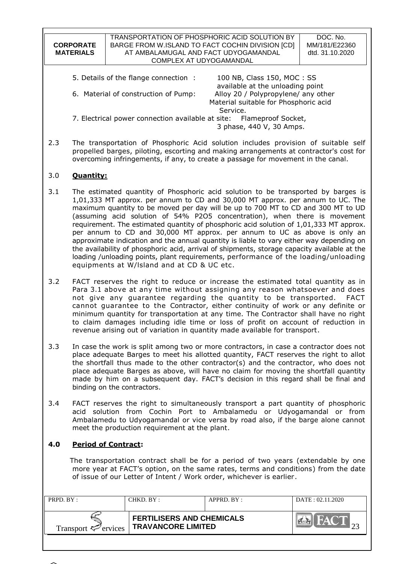|                                                                             | TRANSPORTATION OF PHOSPHORIC ACID SOLUTION BY    |                                                                | DOC. No.        |
|-----------------------------------------------------------------------------|--------------------------------------------------|----------------------------------------------------------------|-----------------|
| <b>CORPORATE</b>                                                            | BARGE FROM W.ISLAND TO FACT COCHIN DIVISION [CD] |                                                                | MM/181/E22360   |
| <b>MATERIALS</b>                                                            | AT AMBALAMUGAL AND FACT UDYOGAMANDAL             |                                                                | dtd. 31.10.2020 |
|                                                                             | COMPLEX AT UDYOGAMANDAL                          |                                                                |                 |
|                                                                             |                                                  |                                                                |                 |
|                                                                             | 5. Details of the flange connection:             | 100 NB, Class 150, MOC: SS<br>available at the unloading point |                 |
| Alloy 20 / Polypropylene/ any other<br>6. Material of construction of Pump: |                                                  |                                                                |                 |
| Material suitable for Phosphoric acid                                       |                                                  |                                                                |                 |
|                                                                             |                                                  | Service.                                                       |                 |
| 7. Electrical power connection available at site: Flameproof Socket,        |                                                  |                                                                |                 |
|                                                                             |                                                  | 3 phase, 440 V, 30 Amps.                                       |                 |
|                                                                             |                                                  |                                                                |                 |

2.3 The transportation of Phosphoric Acid solution includes provision of suitable self propelled barges, piloting, escorting and making arrangements at contractor's cost for overcoming infringements, if any, to create a passage for movement in the canal.

# 3.0 **Quantity:**

- 3.1 The estimated quantity of Phosphoric acid solution to be transported by barges is 1,01,333 MT approx. per annum to CD and 30,000 MT approx. per annum to UC. The maximum quantity to be moved per day will be up to 700 MT to CD and 300 MT to UD (assuming acid solution of 54% P2O5 concentration), when there is movement requirement. The estimated quantity of phosphoric acid solution of 1,01,333 MT approx. per annum to CD and 30,000 MT approx. per annum to UC as above is only an approximate indication and the annual quantity is liable to vary either way depending on the availability of phosphoric acid, arrival of shipments, storage capacity available at the loading /unloading points, plant requirements, performance of the loading/unloading equipments at W/lsland and at CD & UC etc.
- 3.2 FACT reserves the right to reduce or increase the estimated total quantity as in Para 3.1 above at any time without assigning any reason whatsoever and does not give any guarantee regarding the quantity to be transported. FACT cannot guarantee to the Contractor, either continuity of work or any definite or minimum quantity for transportation at any time. The Contractor shall have no right to claim damages including idle time or loss of profit on account of reduction in revenue arising out of variation in quantity made available for transport.
- 3.3 In case the work is split among two or more contractors, in case a contractor does not place adequate Barges to meet his allotted quantity, FACT reserves the right to allot the shortfall thus made to the other contractor(s) and the contractor, who does not place adequate Barges as above, will have no claim for moving the shortfall quantity made by him on a subsequent day. FACT"s decision in this regard shall be final and binding on the contractors.
- 3.4 FACT reserves the right to simultaneously transport a part quantity of phosphoric acid solution from Cochin Port to Ambalamedu or Udyogamandal or from Ambalamedu to Udyogamandal or vice versa by road also, if the barge alone cannot meet the production requirement at the plant.

# **4.0 Period of Contract:**

 The transportation contract shall be for a period of two years (extendable by one more year at FACT"s option, on the same rates, terms and conditions) from the date of issue of our Letter of Intent / Work order, whichever is earlier.

| PRPD. BY:                       | CHKD. BY :                                                    | APPRD. BY: | DATA: 02.11.2020 |
|---------------------------------|---------------------------------------------------------------|------------|------------------|
| Transport $\mathcal{F}$ ervices | <b>FERTILISERS AND CHEMICALS</b><br><b>TRAVANCORE LIMITED</b> |            | <b>AV</b>        |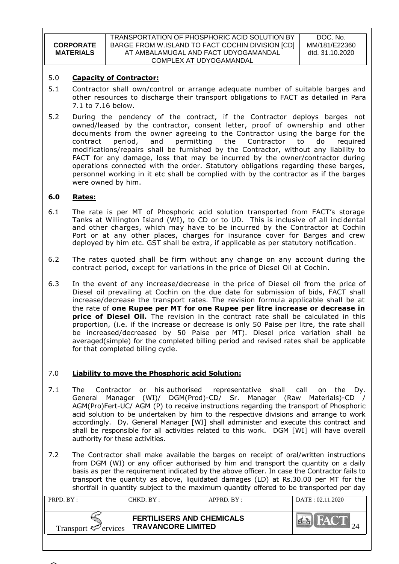|                  | TRANSPORTATION OF PHOSPHORIC ACID SOLUTION BY    | DOC. No.        |
|------------------|--------------------------------------------------|-----------------|
| <b>CORPORATE</b> | BARGE FROM W.ISLAND TO FACT COCHIN DIVISION [CD] | MM/181/E22360   |
| <b>MATERIALS</b> | AT AMBALAMUGAL AND FACT UDYOGAMANDAL             | dtd. 31.10.2020 |
|                  | COMPLEX AT UDYOGAMANDAL                          |                 |

### 5.0 **Capacity of Contractor:**

- 5.1 Contractor shall own/control or arrange adequate number of suitable barges and other resources to discharge their transport obligations to FACT as detailed in Para 7.1 to 7.16 below.
- 5.2 During the pendency of the contract, if the Contractor deploys barges not owned/leased by the contractor, consent letter, proof of ownership and other documents from the owner agreeing to the Contractor using the barge for the contract period, and permitting the Contractor to do required modifications/repairs shall be furnished by the Contractor, without any liability to FACT for any damage, loss that may be incurred by the owner/contractor during operations connected with the order. Statutory obligations regarding these barges, personnel working in it etc shall be complied with by the contractor as if the barges were owned by him.

### **6.0 Rates:**

- 6.1 The rate is per MT of Phosphoric acid solution transported from FACT"s storage Tanks at Willington Island (WI), to CD or to UD. This is inclusive of all incidental and other charges, which may have to be incurred by the Contractor at Cochin Port or at any other places, charges for insurance cover for Barges and crew deployed by him etc. GST shall be extra, if applicable as per statutory notification.
- 6.2 The rates quoted shall be firm without any change on any account during the contract period, except for variations in the price of Diesel Oil at Cochin.
- 6.3 In the event of any increase/decrease in the price of Diesel oil from the price of Diesel oil prevailing at Cochin on the due date for submission of bids, FACT shall increase/decrease the transport rates. The revision formula applicable shall be at the rate of **one Rupee per MT for one Rupee per litre increase or decrease in price of Diesel Oil.** The revision in the contract rate shall be calculated in this proportion, (i.e. if the increase or decrease is only 50 Paise per litre, the rate shall be increased/decreased by 50 Paise per MT). Diesel price variation shall be averaged(simple) for the completed billing period and revised rates shall be applicable for that completed billing cycle.

# 7.0 **Liability to move the Phosphoric acid Solution:**

- 7.1 The Contractor or his authorised representative shall call on the Dy. General Manager (WI)/ DGM(Prod)-CD/ Sr. Manager (Raw Materials)-CD / AGM(Pro)Fert-UC/ AGM (P) to receive instructions regarding the transport of Phosphoric acid solution to be undertaken by him to the respective divisions and arrange to work accordingly. Dy. General Manager [WI] shall administer and execute this contract and shall be responsible for all activities related to this work. DGM [WI] will have overall authority for these activities.
- 7.2 The Contractor shall make available the barges on receipt of oral/written instructions from DGM (WI) or any officer authorised by him and transport the quantity on a daily basis as per the requirement indicated by the above officer. In case the Contractor fails to transport the quantity as above, liquidated damages (LD) at Rs.30.00 per MT for the shortfall in quantity subject to the maximum quantity offered to be transported per day

| PRPD. BY:                       | CHKD. BY:                                                     | $APPRD$ $BY:$ | DATA: 02.11.2020 |
|---------------------------------|---------------------------------------------------------------|---------------|------------------|
| Transport $\mathcal{F}$ ervices | <b>FERTILISERS AND CHEMICALS</b><br><b>TRAVANCORE LIMITED</b> |               | <b>AV</b>        |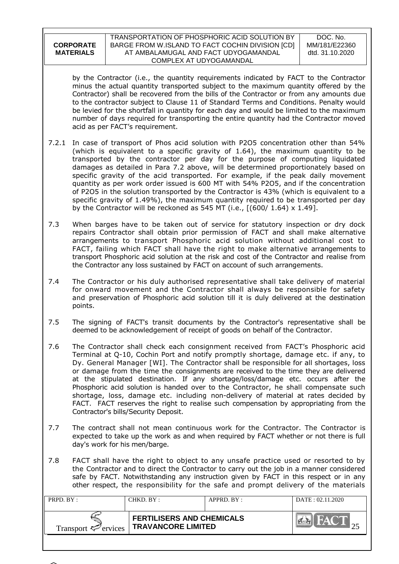by the Contractor (i.e., the quantity requirements indicated by FACT to the Contractor minus the actual quantity transported subject to the maximum quantity offered by the Contractor) shall be recovered from the bills of the Contractor or from any amounts due to the contractor subject to Clause 11 of Standard Terms and Conditions. Penalty would be levied for the shortfall in quantity for each day and would be limited to the maximum number of days required for transporting the entire quantity had the Contractor moved acid as per FACT"s requirement.

- 7.2.1 In case of transport of Phos acid solution with P2O5 concentration other than 54% (which is equivalent to a specific gravity of 1.64), the maximum quantity to be transported by the contractor per day for the purpose of computing liquidated damages as detailed in Para 7.2 above, will be determined proportionately based on specific gravity of the acid transported. For example, if the peak daily movement quantity as per work order issued is 600 MT with 54% P2O5, and if the concentration of P2O5 in the solution transported by the Contractor is 43% (which is equivalent to a specific gravity of 1.49%), the maximum quantity required to be transported per day by the Contractor will be reckoned as 545 MT (i.e.,  $[(600/1.64) \times 1.49]$ .
- 7.3 When barges have to be taken out of service for statutory inspection or dry dock repairs Contractor shall obtain prior permission of FACT and shall make alternative arrangements to transport Phosphoric acid solution without additional cost to FACT, failing which FACT shall have the right to make alternative arrangements to transport Phosphoric acid solution at the risk and cost of the Contractor and realise from the Contractor any loss sustained by FACT on account of such arrangements.
- 7.4 The Contractor or his duly authorised representative shall take delivery of material for onward movement and the Contractor shall always be responsible for safety and preservation of Phosphoric acid solution till it is duly delivered at the destination points.
- 7.5 The signing of FACT's transit documents by the Contractor's representative shall be deemed to be acknowledgement of receipt of goods on behalf of the Contractor.
- 7.6 The Contractor shall check each consignment received from FACT"s Phosphoric acid Terminal at Q-10, Cochin Port and notify promptly shortage, damage etc. if any, to Dy. General Manager [WI]. The Contractor shall be responsible for all shortages, loss or damage from the time the consignments are received to the time they are delivered at the stipulated destination. If any shortage/loss/damage etc. occurs after the Phosphoric acid solution is handed over to the Contractor, he shall compensate such shortage, loss, damage etc. including non-delivery of material at rates decided by FACT. FACT reserves the right to realise such compensation by appropriating from the Contractor's bills/Security Deposit.
- 7.7 The contract shall not mean continuous work for the Contractor. The Contractor is expected to take up the work as and when required by FACT whether or not there is full day's work for his men/barge.
- 7.8 FACT shall have the right to object to any unsafe practice used or resorted to by the Contractor and to direct the Contractor to carry out the job in a manner considered safe by FACT. Notwithstanding any instruction given by FACT in this respect or in any other respect, the responsibility for the safe and prompt delivery of the materials

| PRPD. BY:                       | CHKD. BY:                                                     | $APPRD$ $BY$ | DATA: 02.11.2020 |
|---------------------------------|---------------------------------------------------------------|--------------|------------------|
| Transport $\mathcal{P}$ ervices | <b>FERTILISERS AND CHEMICALS</b><br><b>TRAVANCORE LIMITED</b> |              | <b>NAV</b>       |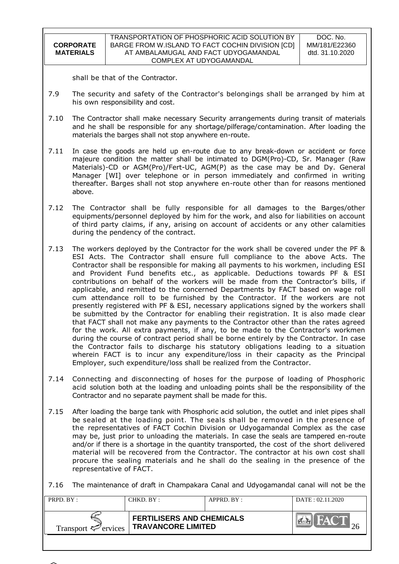| <b>CORPORATE</b> |  |
|------------------|--|
| <b>MATERIALS</b> |  |
|                  |  |

shall be that of the Contractor.

- 7.9 The security and safety of the Contractor's belongings shall be arranged by him at his own responsibility and cost.
- 7.10 The Contractor shall make necessary Security arrangements during transit of materials and he shall be responsible for any shortage/pilferage/contamination. After loading the materials the barges shall not stop anywhere en-route.
- 7.11 In case the goods are held up en-route due to any break-down or accident or force majeure condition the matter shall be intimated to DGM(Pro)-CD, Sr. Manager (Raw Materials)-CD or AGM(Pro)/Fert-UC, AGM(P) as the case may be and Dy. General Manager [WI] over telephone or in person immediately and confirmed in writing thereafter. Barges shall not stop anywhere en-route other than for reasons mentioned above.
- 7.12 The Contractor shall be fully responsible for all damages to the Barges/other equipments/personnel deployed by him for the work, and also for liabilities on account of third party claims, if any, arising on account of accidents or any other calamities during the pendency of the contract.
- 7.13 The workers deployed by the Contractor for the work shall be covered under the PF & ESI Acts. The Contractor shall ensure full compliance to the above Acts. The Contractor shall be responsible for making all payments to his workmen, including ESI and Provident Fund benefits etc., as applicable. Deductions towards PF & ESI contributions on behalf of the workers will be made from the Contractor"s bills, if applicable, and remitted to the concerned Departments by FACT based on wage roll cum attendance roll to be furnished by the Contractor. If the workers are not presently registered with PF & ESI, necessary applications signed by the workers shall be submitted by the Contractor for enabling their registration. It is also made clear that FACT shall not make any payments to the Contractor other than the rates agreed for the work. All extra payments, if any, to be made to the Contractor's workmen during the course of contract period shall be borne entirely by the Contractor. In case the Contractor fails to discharge his statutory obligations leading to a situation wherein FACT is to incur any expenditure/loss in their capacity as the Principal Employer, such expenditure/loss shall be realized from the Contractor.
- 7.14 Connecting and disconnecting of hoses for the purpose of loading of Phosphoric acid solution both at the loading and unloading points shall be the responsibility of the Contractor and no separate payment shall be made for this.
- 7.15 After loading the barge tank with Phosphoric acid solution, the outlet and inlet pipes shall be sealed at the loading point. The seals shall be removed in the presence of the representatives of FACT Cochin Division or Udyogamandal Complex as the case may be, just prior to unloading the materials. In case the seals are tampered en-route and/or if there is a shortage in the quantity transported, the cost of the short delivered material will be recovered from the Contractor. The contractor at his own cost shall procure the sealing materials and he shall do the sealing in the presence of the representative of FACT.

7.16 The maintenance of draft in Champakara Canal and Udyogamandal canal will not be the

| PRPD. BY:                       | CHKD. BY :                                                    | $APPRD$ $BY$ | DATA: 02.11.2020 |
|---------------------------------|---------------------------------------------------------------|--------------|------------------|
| Transport $\mathcal{P}$ ervices | <b>FERTILISERS AND CHEMICALS</b><br><b>TRAVANCORE LIMITED</b> |              | <b>AV</b>        |

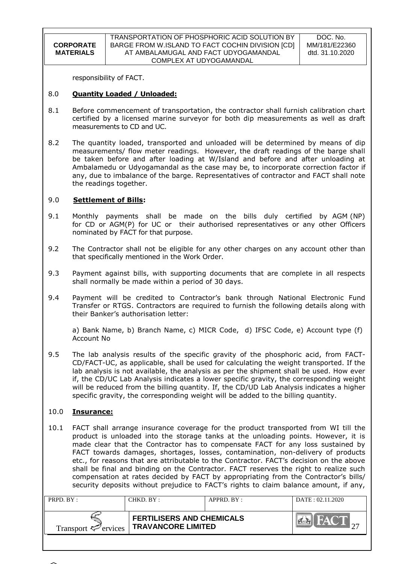responsibility of FACT.

#### 8.0 **Quantity Loaded / Unloaded:**

- 8.1 Before commencement of transportation, the contractor shall furnish calibration chart certified by a licensed marine surveyor for both dip measurements as well as draft measurements to CD and UC.
- 8.2 The quantity loaded, transported and unloaded will be determined by means of dip measurements/ flow meter readings. However, the draft readings of the barge shall be taken before and after loading at W/Island and before and after unloading at Ambalamedu or Udyogamandal as the case may be, to incorporate correction factor if any, due to imbalance of the barge. Representatives of contractor and FACT shall note the readings together.

### 9.0 **Settlement of Bills:**

- 9.1 Monthly payments shall be made on the bills duly certified by AGM (NP) for CD or AGM(P) for UC or their authorised representatives or any other Officers nominated by FACT for that purpose.
- 9.2 The Contractor shall not be eligible for any other charges on any account other than that specifically mentioned in the Work Order.
- 9.3 Payment against bills, with supporting documents that are complete in all respects shall normally be made within a period of 30 days.
- 9.4 Payment will be credited to Contractor"s bank through National Electronic Fund Transfer or RTGS. Contractors are required to furnish the following details along with their Banker"s authorisation letter:

a) Bank Name, b) Branch Name, c) MICR Code, d) IFSC Code, e) Account type (f) Account No

9.5 The lab analysis results of the specific gravity of the phosphoric acid, from FACT-CD/FACT-UC, as applicable, shall be used for calculating the weight transported. If the lab analysis is not available, the analysis as per the shipment shall be used. How ever if, the CD/UC Lab Analysis indicates a lower specific gravity, the corresponding weight will be reduced from the billing quantity. If, the CD/UD Lab Analysis indicates a higher specific gravity, the corresponding weight will be added to the billing quantity.

# 10.0 **Insurance:**

10.1 FACT shall arrange insurance coverage for the product transported from WI till the product is unloaded into the storage tanks at the unloading points. However, it is made clear that the Contractor has to compensate FACT for any loss sustained by FACT towards damages, shortages, losses, contamination, non-delivery of products etc., for reasons that are attributable to the Contractor. FACT"s decision on the above shall be final and binding on the Contractor. FACT reserves the right to realize such compensation at rates decided by FACT by appropriating from the Contractor's bills/ security deposits without prejudice to FACT"s rights to claim balance amount, if any,

| PRPD. $BY:$                     | CHKD. BY :                                                    | APPRD. BY: | DATA: 02.11.2020                       |
|---------------------------------|---------------------------------------------------------------|------------|----------------------------------------|
| Transport $\mathcal{F}$ ervices | <b>FERTILISERS AND CHEMICALS</b><br><b>TRAVANCORE LIMITED</b> |            | $\mathbb{Z}$ $\mathbb{Z}$ $\mathbb{Y}$ |

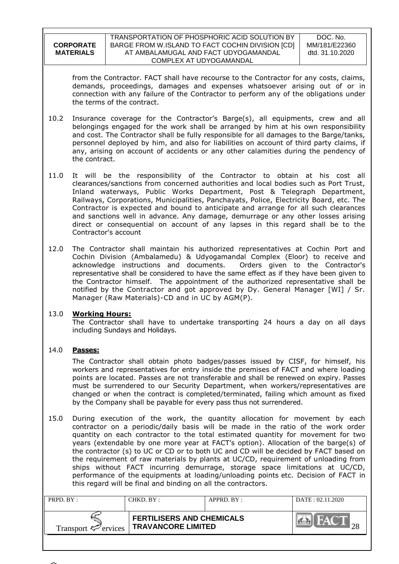| <b>CORPORATE</b> |
|------------------|
|                  |
| <b>MATERIALS</b> |
|                  |

from the Contractor. FACT shall have recourse to the Contractor for any costs, claims, demands, proceedings, damages and expenses whatsoever arising out of or in connection with any failure of the Contractor to perform any of the obligations under the terms of the contract.

- 10.2 Insurance coverage for the Contractor"s Barge(s), all equipments, crew and all belongings engaged for the work shall be arranged by him at his own responsibility and cost. The Contractor shall be fully responsible for all damages to the Barge/tanks, personnel deployed by him, and also for liabilities on account of third party claims, if any, arising on account of accidents or any other calamities during the pendency of the contract.
- 11.0 It will be the responsibility of the Contractor to obtain at his cost all clearances/sanctions from concerned authorities and local bodies such as Port Trust, Inland waterways, Public Works Department, Post & Telegraph Department, Railways, Corporations, Municipalities, Panchayats, Police, Electricity Board, etc. The Contractor is expected and bound to anticipate and arrange for all such clearances and sanctions well in advance. Any damage, demurrage or any other losses arising direct or consequential on account of any lapses in this regard shall be to the Contractor's account
- 12.0 The Contractor shall maintain his authorized representatives at Cochin Port and Cochin Division (Ambalamedu) & Udyogamandal Complex (Eloor) to receive and acknowledge instructions and documents. Orders given to the Contractor's representative shall be considered to have the same effect as if they have been given to the Contractor himself. The appointment of the authorized representative shall be notified by the Contractor and got approved by Dy. General Manager [WI] / Sr. Manager (Raw Materials)-CD and in UC by AGM(P).

# 13.0 **Working Hours:**

The Contractor shall have to undertake transporting 24 hours a day on all days including Sundays and Holidays.

# 14.0 **Passes:**

The Contractor shall obtain photo badges/passes issued by CISF, for himself, his workers and representatives for entry inside the premises of FACT and where loading points are located. Passes are not transferable and shall be renewed on expiry. Passes must be surrendered to our Security Department, when workers/representatives are changed or when the contract is completed/terminated, failing which amount as fixed by the Company shall be payable for every pass thus not surrendered.

15.0 During execution of the work, the quantity allocation for movement by each contractor on a periodic/daily basis will be made in the ratio of the work order quantity on each contractor to the total estimated quantity for movement for two years (extendable by one more year at FACT"s option). Allocation of the barge(s) of the contractor (s) to UC or CD or to both UC and CD will be decided by FACT based on the requirement of raw materials by plants at UC/CD, requirement of unloading from ships without FACT incurring demurrage, storage space limitations at UC/CD, performance of the equipments at loading/unloading points etc. Decision of FACT in this regard will be final and binding on all the contractors.

| PRPD. BY:                       | CHKD. BY :-                                                   | $APPRD$ $BY:$ | DATA: 02.11.2020                       |
|---------------------------------|---------------------------------------------------------------|---------------|----------------------------------------|
| Transport $\mathcal{P}$ ervices | <b>FERTILISERS AND CHEMICALS</b><br><b>TRAVANCORE LIMITED</b> |               | $\mathbb{Z}$ $\mathbb{Z}$ $\mathbb{Y}$ |

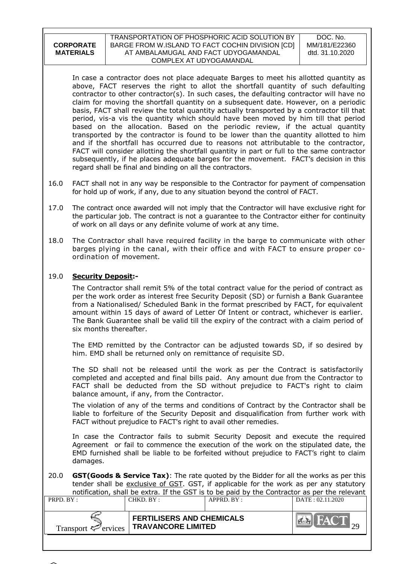#### TRANSPORTATION OF PHOSPHORIC ACID SOLUTION BY BARGE FROM W.ISLAND TO FACT COCHIN DIVISION [CD] AT AMBALAMUGAL AND FACT UDYOGAMANDAL COMPLEX AT UDYOGAMANDAL

DOC. No. MM/181/E22360 dtd. 31.10.2020

In case a contractor does not place adequate Barges to meet his allotted quantity as above, FACT reserves the right to allot the shortfall quantity of such defaulting contractor to other contractor(s). In such cases, the defaulting contractor will have no claim for moving the shortfall quantity on a subsequent date. However, on a periodic basis, FACT shall review the total quantity actually transported by a contractor till that period, vis-a vis the quantity which should have been moved by him till that period based on the allocation. Based on the periodic review, if the actual quantity transported by the contractor is found to be lower than the quantity allotted to him and if the shortfall has occurred due to reasons not attributable to the contractor, FACT will consider allotting the shortfall quantity in part or full to the same contractor subsequently, if he places adequate barges for the movement. FACT"s decision in this regard shall be final and binding on all the contractors.

- 16.0 FACT shall not in any way be responsible to the Contractor for payment of compensation for hold up of work, if any, due to any situation beyond the control of FACT.
- 17.0 The contract once awarded will not imply that the Contractor will have exclusive right for the particular job. The contract is not a guarantee to the Contractor either for continuity of work on all days or any definite volume of work at any time.
- 18.0 The Contractor shall have required facility in the barge to communicate with other barges plying in the canal, with their office and with FACT to ensure proper coordination of movement.

# 19.0 **Security Deposit:-**

The Contractor shall remit 5% of the total contract value for the period of contract as per the work order as interest free Security Deposit (SD) or furnish a Bank Guarantee from a Nationalised/ Scheduled Bank in the format prescribed by FACT, for equivalent amount within 15 days of award of Letter Of Intent or contract, whichever is earlier. The Bank Guarantee shall be valid till the expiry of the contract with a claim period of six months thereafter.

The EMD remitted by the Contractor can be adjusted towards SD, if so desired by him. EMD shall be returned only on remittance of requisite SD.

The SD shall not be released until the work as per the Contract is satisfactorily completed and accepted and final bills paid. Any amount due from the Contractor to FACT shall be deducted from the SD without prejudice to FACT's right to claim balance amount, if any, from the Contractor.

The violation of any of the terms and conditions of Contract by the Contractor shall be liable to forfeiture of the Security Deposit and disqualification from further work with FACT without prejudice to FACT's right to avail other remedies.

In case the Contractor fails to submit Security Deposit and execute the required Agreement or fail to commence the execution of the work on the stipulated date, the EMD furnished shall be liable to be forfeited without prejudice to FACT"s right to claim damages.

20.0 **GST(Goods & Service Tax)**: The rate quoted by the Bidder for all the works as per this tender shall be exclusive of GST. GST, if applicable for the work as per any statutory notification, shall be extra. If the GST is to be paid by the Contractor as per the relevant

| PRPD. BY:                       | CHKD. BY :                                                    | APPRD. BY: | DATA: 02.11.2020                       |
|---------------------------------|---------------------------------------------------------------|------------|----------------------------------------|
| Transport $\mathcal{F}$ ervices | <b>FERTILISERS AND CHEMICALS</b><br><b>TRAVANCORE LIMITED</b> |            | $\mathbb{Z}$ $\mathbb{Z}$ $\mathbb{Y}$ |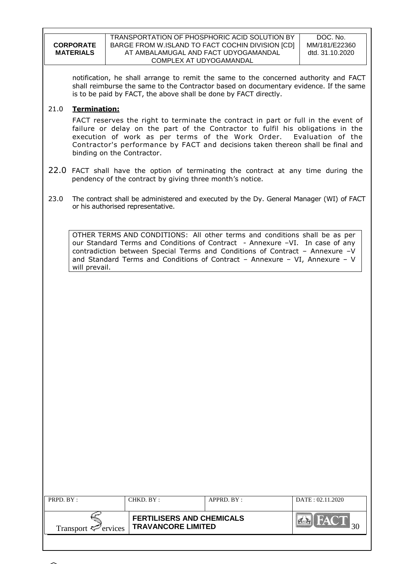|                  | TRANSPORTATION OF PHOSPHORIC ACID SOLUTION BY    | D0     |
|------------------|--------------------------------------------------|--------|
| <b>CORPORATE</b> | BARGE FROM W.ISLAND TO FACT COCHIN DIVISION [CD] | MM/1   |
| <b>MATERIALS</b> | AT AMBALAMUGAL AND FACT UDYOGAMANDAL             | dtd. 3 |
|                  | COMPLEX AT UDYOGAMANDAL                          |        |

DOC. No. 81/E22360 81.10.2020

notification, he shall arrange to remit the same to the concerned authority and FACT shall reimburse the same to the Contractor based on documentary evidence. If the same is to be paid by FACT, the above shall be done by FACT directly.

# 21.0 **Termination:**

FACT reserves the right to terminate the contract in part or full in the event of failure or delay on the part of the Contractor to fulfil his obligations in the execution of work as per terms of the Work Order. Evaluation of the Contractor's performance by FACT and decisions taken thereon shall be final and binding on the Contractor.

- 22.0 FACT shall have the option of terminating the contract at any time during the pendency of the contract by giving three month's notice.
- 23.0 The contract shall be administered and executed by the Dy. General Manager (WI) of FACT or his authorised representative.

OTHER TERMS AND CONDITIONS: All other terms and conditions shall be as per our Standard Terms and Conditions of Contract - Annexure -VI. In case of any contradiction between Special Terms and Conditions of Contract – Annexure –V and Standard Terms and Conditions of Contract – Annexure – VI, Annexure – V will prevail.

| PRPD. BY:                       | CHKD. BY: | $APPRD$ . $BY$ :                                              | DATE: 02.11.2020 |
|---------------------------------|-----------|---------------------------------------------------------------|------------------|
| Transport $\mathcal{F}$ ervices |           | <b>FERTILISERS AND CHEMICALS</b><br><b>TRAVANCORE LIMITED</b> |                  |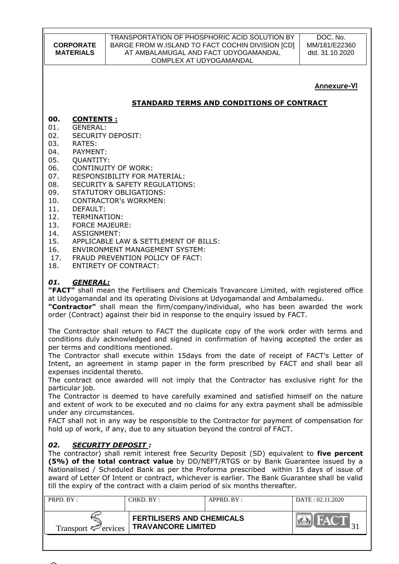#### TRANSPORTATION OF PHOSPHORIC ACID SOLUTION BY BARGE FROM W.ISLAND TO FACT COCHIN DIVISION [CD] AT AMBALAMUGAL AND FACT UDYOGAMANDAL COMPLEX AT UDYOGAMANDAL

DOC. No. MM/181/E22360 dtd. 31.10.2020

# **Annexure-VI**

# **STANDARD TERMS AND CONDITIONS OF CONTRACT**

# **00. CONTENTS :**

- 01. GENERAL:
- 02. SECURITY DEPOSIT:
- 03. RATES:
- 04. PAYMENT:
- 05. OUANTITY:
- 06. CONTINUITY OF WORK:
- 07. RESPONSIBILITY FOR MATERIAL:
- 08. SECURITY & SAFETY REGULATIONS:
- 09. STATUTORY OBLIGATIONS:
- 10. CONTRACTOR's WORKMEN:
- 11. DEFAULT:
- 12. TERMINATION:
- 13. FORCE MAJEURE:
- 14. ASSIGNMENT:
- 15. APPLICABLE LAW & SETTLEMENT OF BILLS:
- 16. ENVIRONMENT MANAGEMENT SYSTEM:
- 17. FRAUD PREVENTION POLICY OF FACT:
- 18. ENTIRETY OF CONTRACT:

# *01. GENERAL:*

**"FACT"** shall mean the Fertilisers and Chemicals Travancore Limited, with registered office at Udyogamandal and its operating Divisions at Udyogamandal and Ambalamedu.

**"Contractor"** shall mean the firm/company/individual, who has been awarded the work order (Contract) against their bid in response to the enquiry issued by FACT.

The Contractor shall return to FACT the duplicate copy of the work order with terms and conditions duly acknowledged and signed in confirmation of having accepted the order as per terms and conditions mentioned.

The Contractor shall execute within 15days from the date of receipt of FACT's Letter of Intent, an agreement in stamp paper in the form prescribed by FACT and shall bear all expenses incidental thereto.

The contract once awarded will not imply that the Contractor has exclusive right for the particular job.

The Contractor is deemed to have carefully examined and satisfied himself on the nature and extent of work to be executed and no claims for any extra payment shall be admissible under any circumstances.

FACT shall not in any way be responsible to the Contractor for payment of compensation for hold up of work, if any, due to any situation beyond the control of FACT.

# *02. SECURITY DEPOSIT :*

The contractor) shall remit interest free Security Deposit (SD) equivalent to **five percent (5%) of the total contract value** by DD/NEFT/RTGS or by Bank Guarantee issued by a Nationalised / Scheduled Bank as per the Proforma prescribed within 15 days of issue of award of Letter Of Intent or contract, whichever is earlier. The Bank Guarantee shall be valid till the expiry of the contract with a claim period of six months thereafter.

| PRPD. BY:                       | CHKD. BY :                                                    | $APPRD$ $BY$ : | DATE: 02.11.2020 |
|---------------------------------|---------------------------------------------------------------|----------------|------------------|
| Transport $\mathcal{F}$ ervices | <b>FERTILISERS AND CHEMICALS</b><br><b>TRAVANCORE LIMITED</b> |                | HACT             |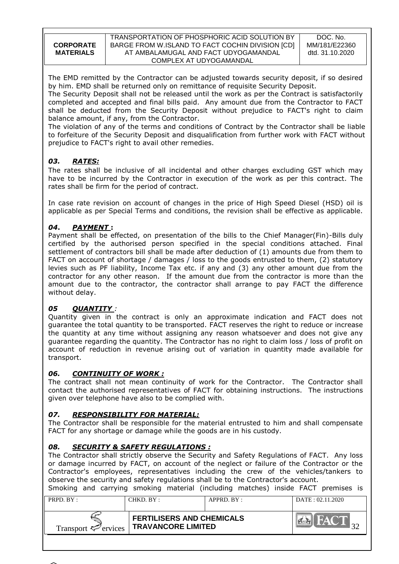The EMD remitted by the Contractor can be adjusted towards security deposit, if so desired by him. EMD shall be returned only on remittance of requisite Security Deposit.

The Security Deposit shall not be released until the work as per the Contract is satisfactorily completed and accepted and final bills paid. Any amount due from the Contractor to FACT shall be deducted from the Security Deposit without prejudice to FACT's right to claim balance amount, if any, from the Contractor.

The violation of any of the terms and conditions of Contract by the Contractor shall be liable to forfeiture of the Security Deposit and disqualification from further work with FACT without prejudice to FACT's right to avail other remedies.

# *03. RATES:*

The rates shall be inclusive of all incidental and other charges excluding GST which may have to be incurred by the Contractor in execution of the work as per this contract. The rates shall be firm for the period of contract.

In case rate revision on account of changes in the price of High Speed Diesel (HSD) oil is applicable as per Special Terms and conditions, the revision shall be effective as applicable.

# *04***.** *PAYMENT* **:**

Payment shall be effected, on presentation of the bills to the Chief Manager(Fin)-Bills duly certified by the authorised person specified in the special conditions attached. Final settlement of contractors bill shall be made after deduction of (1) amounts due from them to FACT on account of shortage / damages / loss to the goods entrusted to them, (2) statutory levies such as PF liability, Income Tax etc. if any and (3) any other amount due from the contractor for any other reason. If the amount due from the contractor is more than the amount due to the contractor, the contractor shall arrange to pay FACT the difference without delay.

# *05 QUANTITY :*

Quantity given in the contract is only an approximate indication and FACT does not guarantee the total quantity to be transported. FACT reserves the right to reduce or increase the quantity at any time without assigning any reason whatsoever and does not give any guarantee regarding the quantity. The Contractor has no right to claim loss / loss of profit on account of reduction in revenue arising out of variation in quantity made available for transport.

# *06. CONTINUITY OF WORK :*

The contract shall not mean continuity of work for the Contractor. The Contractor shall contact the authorised representatives of FACT for obtaining instructions. The instructions given over telephone have also to be complied with.

# *07. RESPONSIBILITY FOR MATERIAL:*

The Contractor shall be responsible for the material entrusted to him and shall compensate FACT for any shortage or damage while the goods are in his custody.

# *08. SECURITY & SAFETY REGULATIONS :*

The Contractor shall strictly observe the Security and Safety Regulations of FACT. Any loss or damage incurred by FACT, on account of the neglect or failure of the Contractor or the Contractor's employees, representatives including the crew of the vehicles/tankers to observe the security and safety regulations shall be to the Contractor's account. Smoking and carrying smoking material (including matches) inside FACT premises is

| $PRPD$ $RY:$                    | CHKD. BY:                                                     | $APPRD$ $BY$ : | DATA: 02.11.2020 |
|---------------------------------|---------------------------------------------------------------|----------------|------------------|
| Transport $\mathcal{P}$ ervices | <b>FERTILISERS AND CHEMICALS</b><br><b>TRAVANCORE LIMITED</b> |                | <b>EAT</b>       |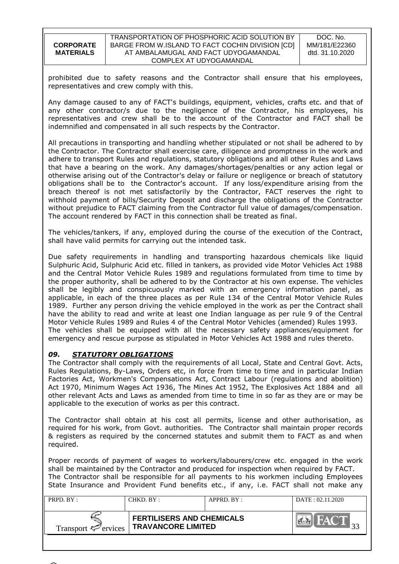| <b>CORPORATE</b> |
|------------------|
|                  |
| <b>MATERIALS</b> |

prohibited due to safety reasons and the Contractor shall ensure that his employees, representatives and crew comply with this.

Any damage caused to any of FACT's buildings, equipment, vehicles, crafts etc. and that of any other contractor/s due to the negligence of the Contractor, his employees, his representatives and crew shall be to the account of the Contractor and FACT shall be indemnified and compensated in all such respects by the Contractor.

All precautions in transporting and handling whether stipulated or not shall be adhered to by the Contractor. The Contractor shall exercise care, diligence and promptness in the work and adhere to transport Rules and regulations, statutory obligations and all other Rules and Laws that have a bearing on the work. Any damages/shortages/penalties or any action legal or otherwise arising out of the Contractor's delay or failure or negligence or breach of statutory obligations shall be to the Contractor's account. If any loss/expenditure arising from the breach thereof is not met satisfactorily by the Contractor, FACT reserves the right to withhold payment of bills/Security Deposit and discharge the obligations of the Contractor without prejudice to FACT claiming from the Contractor full value of damages/compensation. The account rendered by FACT in this connection shall be treated as final.

The vehicles/tankers, if any, employed during the course of the execution of the Contract, shall have valid permits for carrying out the intended task.

Due safety requirements in handling and transporting hazardous chemicals like liquid Sulphuric Acid, Sulphuric Acid etc. filled in tankers, as provided vide Motor Vehicles Act 1988 and the Central Motor Vehicle Rules 1989 and regulations formulated from time to time by the proper authority, shall be adhered to by the Contractor at his own expense. The vehicles shall be legibly and conspicuously marked with an emergency information panel, as applicable, in each of the three places as per Rule 134 of the Central Motor Vehicle Rules 1989. Further any person driving the vehicle employed in the work as per the Contract shall have the ability to read and write at least one Indian language as per rule 9 of the Central Motor Vehicle Rules 1989 and Rules 4 of the Central Motor Vehicles (amended) Rules 1993. The vehicles shall be equipped with all the necessary safety appliances/equipment for emergency and rescue purpose as stipulated in Motor Vehicles Act 1988 and rules thereto.

# *09. STATUTORY OBLIGATIONS*

The Contractor shall comply with the requirements of all Local, State and Central Govt. Acts, Rules Regulations, By-Laws, Orders etc, in force from time to time and in particular Indian Factories Act, Workmen's Compensations Act, Contract Labour (regulations and abolition) Act 1970, Minimum Wages Act 1936, The Mines Act 1952, The Explosives Act 1884 and all other relevant Acts and Laws as amended from time to time in so far as they are or may be applicable to the execution of works as per this contract.

The Contractor shall obtain at his cost all permits, license and other authorisation, as required for his work, from Govt. authorities. The Contractor shall maintain proper records & registers as required by the concerned statutes and submit them to FACT as and when required.

Proper records of payment of wages to workers/labourers/crew etc. engaged in the work shall be maintained by the Contractor and produced for inspection when required by FACT. The Contractor shall be responsible for all payments to his workmen including Employees State Insurance and Provident Fund benefits etc., if any, i.e. FACT shall not make any

| PRPD. BY:                       | CHKD. BY :                                                    | $APPRD$ . $BY$ : | DATE: 02.11.2020 |
|---------------------------------|---------------------------------------------------------------|------------------|------------------|
| Transport $\mathcal{P}$ ervices | <b>FERTILISERS AND CHEMICALS</b><br><b>TRAVANCORE LIMITED</b> |                  | <b>EAV</b>       |

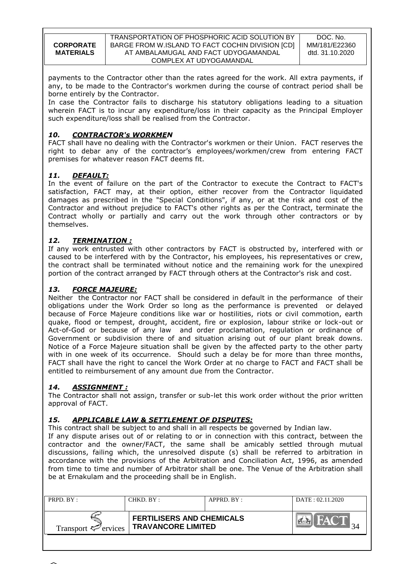payments to the Contractor other than the rates agreed for the work. All extra payments, if any, to be made to the Contractor's workmen during the course of contract period shall be borne entirely by the Contractor.

In case the Contractor fails to discharge his statutory obligations leading to a situation wherein FACT is to incur any expenditure/loss in their capacity as the Principal Employer such expenditure/loss shall be realised from the Contractor.

# *10. CONTRACTOR's WORKMEN*

FACT shall have no dealing with the Contractor's workmen or their Union. FACT reserves the right to debar any of the contractor's employees/workmen/crew from entering FACT premises for whatever reason FACT deems fit.

# *11. DEFAULT:*

In the event of failure on the part of the Contractor to execute the Contract to FACT's satisfaction, FACT may, at their option, either recover from the Contractor liquidated damages as prescribed in the "Special Conditions", if any, or at the risk and cost of the Contractor and without prejudice to FACT's other rights as per the Contract, terminate the Contract wholly or partially and carry out the work through other contractors or by themselves.

# *12. TERMINATION :*

If any work entrusted with other contractors by FACT is obstructed by, interfered with or caused to be interfered with by the Contractor, his employees, his representatives or crew, the contract shall be terminated without notice and the remaining work for the unexpired portion of the contract arranged by FACT through others at the Contractor's risk and cost.

# *13. FORCE MAJEURE:*

Neither the Contractor nor FACT shall be considered in default in the performance of their obligations under the Work Order so long as the performance is prevented or delayed because of Force Majeure conditions like war or hostilities, riots or civil commotion, earth quake, flood or tempest, drought, accident, fire or explosion, labour strike or lock-out or Act-of-God or because of any law and order proclamation, regulation or ordinance of Government or subdivision there of and situation arising out of our plant break downs. Notice of a Force Majeure situation shall be given by the affected party to the other party with in one week of its occurrence. Should such a delay be for more than three months, FACT shall have the right to cancel the Work Order at no charge to FACT and FACT shall be entitled to reimbursement of any amount due from the Contractor.

# *14. ASSIGNMENT :*

The Contractor shall not assign, transfer or sub-let this work order without the prior written approval of FACT.

# *15. APPLICABLE LAW & SETTLEMENT OF DISPUTES:*

This contract shall be subject to and shall in all respects be governed by Indian law.

If any dispute arises out of or relating to or in connection with this contract, between the contractor and the owner/FACT, the same shall be amicably settled through mutual discussions, failing which, the unresolved dispute (s) shall be referred to arbitration in accordance with the provisions of the Arbitration and Conciliation Act, 1996, as amended from time to time and number of Arbitrator shall be one. The Venue of the Arbitration shall be at Ernakulam and the proceeding shall be in English.

| PRPD. BY:                       | CHKD. BY:                                                     | $APPRD$ $BY:$ | DATA: 02.11.2020 |
|---------------------------------|---------------------------------------------------------------|---------------|------------------|
| Transport $\mathcal{F}$ ervices | <b>FERTILISERS AND CHEMICALS</b><br><b>TRAVANCORE LIMITED</b> |               | <b>ELAN</b>      |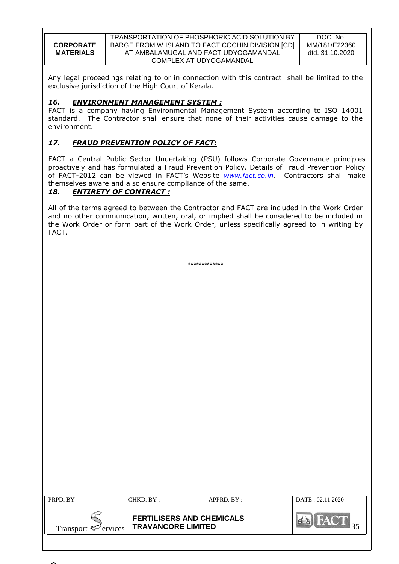| <b>CORPORATE</b> |
|------------------|
| <b>MATERIALS</b> |
|                  |

Any legal proceedings relating to or in connection with this contract shall be limited to the exclusive jurisdiction of the High Court of Kerala.

# *16. ENVIRONMENT MANAGEMENT SYSTEM :*

FACT is a company having Environmental Management System according to ISO 14001 standard. The Contractor shall ensure that none of their activities cause damage to the environment.

# *17. FRAUD PREVENTION POLICY OF FACT:*

FACT a Central Public Sector Undertaking (PSU) follows Corporate Governance principles proactively and has formulated a Fraud Prevention Policy. Details of Fraud Prevention Policy of FACT-2012 can be viewed in FACT"s Website *[www.fact.co.in](http://www.fact.co.in/)*. Contractors shall make themselves aware and also ensure compliance of the same.

# *18. ENTIRETY OF CONTRACT :*

All of the terms agreed to between the Contractor and FACT are included in the Work Order and no other communication, written, oral, or implied shall be considered to be included in the Work Order or form part of the Work Order, unless specifically agreed to in writing by FACT.

\*\*\*\*\*\*\*\*\*\*\*\*\*

| PRPD. BY:                       | CHKD. BY:                                                     | APPRD. BY: | DATA: 02.11.2020 |
|---------------------------------|---------------------------------------------------------------|------------|------------------|
| Transport $\mathcal{F}$ ervices | <b>FERTILISERS AND CHEMICALS</b><br><b>TRAVANCORE LIMITED</b> |            |                  |

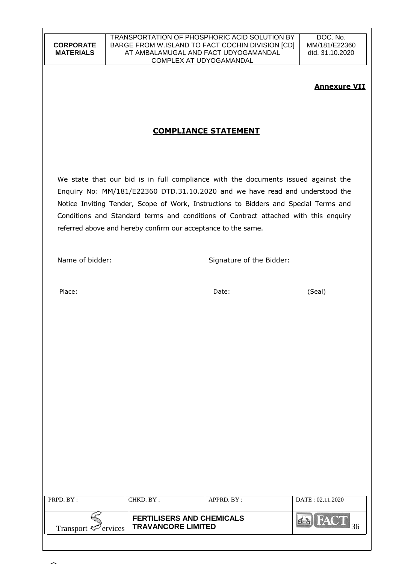# **Annexure VII**

# **COMPLIANCE STATEMENT**

We state that our bid is in full compliance with the documents issued against the Enquiry No: MM/181/E22360 DTD.31.10.2020 and we have read and understood the Notice Inviting Tender, Scope of Work, Instructions to Bidders and Special Terms and Conditions and Standard terms and conditions of Contract attached with this enquiry referred above and hereby confirm our acceptance to the same.

Name of bidder: Signature of the Bidder:

Place: Date: (Seal)

| PRPD. BY:                       | CHKD. BY:                                                     | APPRD. BY : | DATE: 02.11.2020 |
|---------------------------------|---------------------------------------------------------------|-------------|------------------|
| Transport $\mathcal{F}$ ervices | <b>FERTILISERS AND CHEMICALS</b><br><b>TRAVANCORE LIMITED</b> |             | <b>FAY</b>       |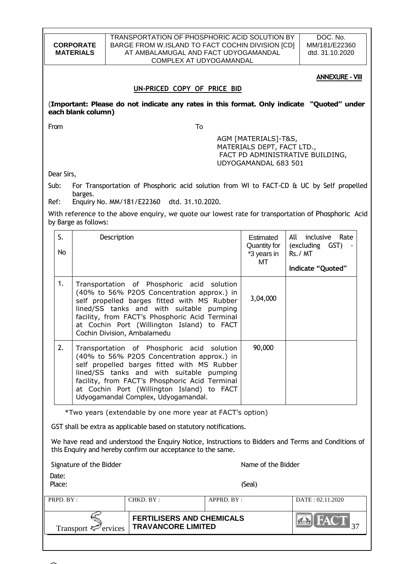|                                                                                                                                                                    | TRANSPORTATION OF PHOSPHORIC ACID SOLUTION BY<br>BARGE FROM W.ISLAND TO FACT COCHIN DIVISION [CD]<br><b>CORPORATE</b><br><b>MATERIALS</b><br>AT AMBALAMUGAL AND FACT UDYOGAMANDAL<br>COMPLEX AT UDYOGAMANDAL                                                                                                                            |             |                                                                                                     |             |                                                                                                                |               | DOC. No.<br>MM/181/E22360<br>dtd. 31.10.2020 |  |
|--------------------------------------------------------------------------------------------------------------------------------------------------------------------|-----------------------------------------------------------------------------------------------------------------------------------------------------------------------------------------------------------------------------------------------------------------------------------------------------------------------------------------|-------------|-----------------------------------------------------------------------------------------------------|-------------|----------------------------------------------------------------------------------------------------------------|---------------|----------------------------------------------|--|
|                                                                                                                                                                    |                                                                                                                                                                                                                                                                                                                                         |             |                                                                                                     |             |                                                                                                                |               | <b>ANNEXURE - VIII</b>                       |  |
|                                                                                                                                                                    |                                                                                                                                                                                                                                                                                                                                         |             | UN-PRICED COPY OF PRICE BID                                                                         |             |                                                                                                                |               |                                              |  |
|                                                                                                                                                                    | each blank column)                                                                                                                                                                                                                                                                                                                      |             | (Important: Please do not indicate any rates in this format. Only indicate "Quoted" under           |             |                                                                                                                |               |                                              |  |
| From                                                                                                                                                               |                                                                                                                                                                                                                                                                                                                                         |             | To                                                                                                  |             |                                                                                                                |               |                                              |  |
|                                                                                                                                                                    |                                                                                                                                                                                                                                                                                                                                         |             |                                                                                                     |             | AGM [MATERIALS]-T&S,<br>MATERIALS DEPT, FACT LTD.,<br>FACT PD ADMINISTRATIVE BUILDING,<br>UDYOGAMANDAL 683 501 |               |                                              |  |
| Dear Sirs,                                                                                                                                                         |                                                                                                                                                                                                                                                                                                                                         |             |                                                                                                     |             |                                                                                                                |               |                                              |  |
| Sub:                                                                                                                                                               | barges.                                                                                                                                                                                                                                                                                                                                 |             | For Transportation of Phosphoric acid solution from WI to FACT-CD & UC by Self propelled            |             |                                                                                                                |               |                                              |  |
| Ref:                                                                                                                                                               |                                                                                                                                                                                                                                                                                                                                         |             | Enquiry No. MM/181/E22360 dtd. 31.10.2020.                                                          |             |                                                                                                                |               |                                              |  |
|                                                                                                                                                                    | by Barge as follows:                                                                                                                                                                                                                                                                                                                    |             | With reference to the above enquiry, we quote our lowest rate for transportation of Phosphoric Acid |             |                                                                                                                |               |                                              |  |
| S.<br>No                                                                                                                                                           |                                                                                                                                                                                                                                                                                                                                         | Description |                                                                                                     |             | Estimated<br>Quantity for<br>*3 years in                                                                       | All<br>Rs./MT | Rate<br>inclusive<br>(excluding GST)         |  |
|                                                                                                                                                                    |                                                                                                                                                                                                                                                                                                                                         |             |                                                                                                     |             | МT                                                                                                             |               | Indicate "Quoted"                            |  |
| 1.                                                                                                                                                                 | Transportation of Phosphoric acid solution<br>(40% to 56% P2O5 Concentration approx.) in<br>3,04,000<br>self propelled barges fitted with MS Rubber<br>lined/SS tanks and with suitable pumping<br>facility, from FACT's Phosphoric Acid Terminal<br>at Cochin Port (Willington Island) to FACT<br>Cochin Division, Ambalamedu          |             |                                                                                                     |             |                                                                                                                |               |                                              |  |
| 2.                                                                                                                                                                 | 90,000<br>Transportation of Phosphoric acid<br>solution<br>(40% to 56% P2O5 Concentration approx.) in<br>self propelled barges fitted with MS Rubber<br>lined/SS tanks and with suitable pumping<br>facility, from FACT's Phosphoric Acid Terminal<br>at Cochin Port (Willington Island) to FACT<br>Udyogamandal Complex, Udyogamandal. |             |                                                                                                     |             |                                                                                                                |               |                                              |  |
|                                                                                                                                                                    |                                                                                                                                                                                                                                                                                                                                         |             | *Two years (extendable by one more year at FACT's option)                                           |             |                                                                                                                |               |                                              |  |
|                                                                                                                                                                    |                                                                                                                                                                                                                                                                                                                                         |             | GST shall be extra as applicable based on statutory notifications.                                  |             |                                                                                                                |               |                                              |  |
| We have read and understood the Enquiry Notice, Instructions to Bidders and Terms and Conditions of<br>this Enquiry and hereby confirm our acceptance to the same. |                                                                                                                                                                                                                                                                                                                                         |             |                                                                                                     |             |                                                                                                                |               |                                              |  |
|                                                                                                                                                                    | Signature of the Bidder<br>Name of the Bidder                                                                                                                                                                                                                                                                                           |             |                                                                                                     |             |                                                                                                                |               |                                              |  |
| Date:<br>Place:<br>(Seal)                                                                                                                                          |                                                                                                                                                                                                                                                                                                                                         |             |                                                                                                     |             |                                                                                                                |               |                                              |  |
| PRPD. BY:                                                                                                                                                          |                                                                                                                                                                                                                                                                                                                                         |             | CHKD. BY:                                                                                           | APPRD. BY : |                                                                                                                |               | DATE: 02.11.2020                             |  |
| <b>FERTILISERS AND CHEMICALS</b><br><b>TRAVANCORE LIMITED</b><br>Transport $\overline{y}$<br>ervices                                                               |                                                                                                                                                                                                                                                                                                                                         |             |                                                                                                     |             |                                                                                                                |               |                                              |  |
|                                                                                                                                                                    |                                                                                                                                                                                                                                                                                                                                         |             |                                                                                                     |             |                                                                                                                |               |                                              |  |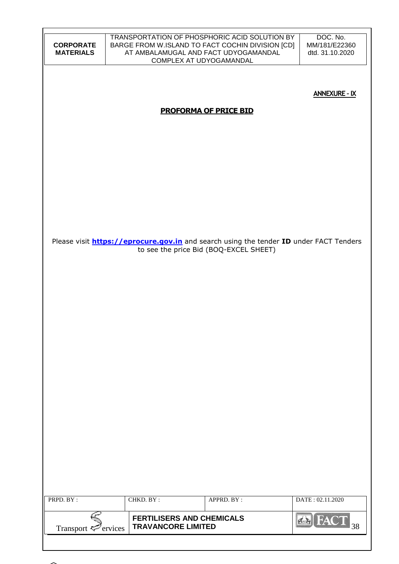| <b>CORPORATE</b><br><b>MATERIALS</b> |                           | TRANSPORTATION OF PHOSPHORIC ACID SOLUTION BY<br>BARGE FROM W.ISLAND TO FACT COCHIN DIVISION [CD]<br>AT AMBALAMUGAL AND FACT UDYOGAMANDAL<br>COMPLEX AT UDYOGAMANDAL | DOC. No.<br>MM/181/E22360<br>dtd. 31.10.2020                                                  |
|--------------------------------------|---------------------------|----------------------------------------------------------------------------------------------------------------------------------------------------------------------|-----------------------------------------------------------------------------------------------|
|                                      |                           | <b>PROFORMA OF PRICE BID</b>                                                                                                                                         | <b>ANNEXURE - IX</b>                                                                          |
|                                      |                           |                                                                                                                                                                      |                                                                                               |
|                                      |                           |                                                                                                                                                                      |                                                                                               |
|                                      |                           |                                                                                                                                                                      |                                                                                               |
|                                      |                           | to see the price Bid (BOQ-EXCEL SHEET)                                                                                                                               | Please visit <b>https://eprocure.gov.in</b> and search using the tender ID under FACT Tenders |
|                                      |                           |                                                                                                                                                                      |                                                                                               |
|                                      |                           |                                                                                                                                                                      |                                                                                               |
|                                      |                           |                                                                                                                                                                      |                                                                                               |
|                                      |                           |                                                                                                                                                                      |                                                                                               |
|                                      |                           |                                                                                                                                                                      |                                                                                               |
|                                      |                           |                                                                                                                                                                      |                                                                                               |
| PRPD. BY:                            | CHKD. BY:                 | APPRD. BY:                                                                                                                                                           | DATE: 02.11.2020                                                                              |
| Transport $\leq$ ervices             | <b>TRAVANCORE LIMITED</b> | <b>FERTILISERS AND CHEMICALS</b>                                                                                                                                     | <b>FACT</b><br>38                                                                             |
|                                      |                           |                                                                                                                                                                      |                                                                                               |

 $\mathbf{I}$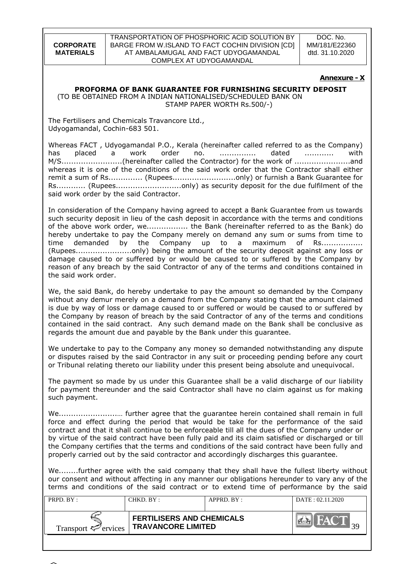DOC. No. MM/181/E22360 dtd. 31.10.2020

#### **Annexure - X**

# **PROFORMA OF BANK GUARANTEE FOR FURNISHING SECURITY DEPOSIT**

 (TO BE OBTAINED FROM A INDIAN NATIONALISED/SCHEDULED BANK ON STAMP PAPER WORTH Rs.500/-)

The Fertilisers and Chemicals Travancore Ltd., Udyogamandal, Cochin-683 501.

Whereas FACT , Udyogamandal P.O., Kerala (hereinafter called referred to as the Company) has placed a work order no. ............... dated ............ with M/S.........................(hereinafter called the Contractor) for the work of .......................and whereas it is one of the conditions of the said work order that the Contractor shall either remit a sum of Rs............... (Rupees...............................only) or furnish a Bank Guarantee for Rs............ (Rupees...........................only) as security deposit for the due fulfilment of the said work order by the said Contractor.

In consideration of the Company having agreed to accept a Bank Guarantee from us towards such security deposit in lieu of the cash deposit in accordance with the terms and conditions of the above work order, we................... the Bank (hereinafter referred to as the Bank) do hereby undertake to pay the Company merely on demand any sum or sums from time to time demanded by the Company up to a maximum of Rs................. (Rupees.......................only) being the amount of the security deposit against any loss or damage caused to or suffered by or would be caused to or suffered by the Company by reason of any breach by the said Contractor of any of the terms and conditions contained in the said work order.

We, the said Bank, do hereby undertake to pay the amount so demanded by the Company without any demur merely on a demand from the Company stating that the amount claimed is due by way of loss or damage caused to or suffered or would be caused to or suffered by the Company by reason of breach by the said Contractor of any of the terms and conditions contained in the said contract. Any such demand made on the Bank shall be conclusive as regards the amount due and payable by the Bank under this guarantee.

We undertake to pay to the Company any money so demanded notwithstanding any dispute or disputes raised by the said Contractor in any suit or proceeding pending before any court or Tribunal relating thereto our liability under this present being absolute and unequivocal.

The payment so made by us under this Guarantee shall be a valid discharge of our liability for payment thereunder and the said Contractor shall have no claim against us for making such payment.

We........................… further agree that the guarantee herein contained shall remain in full force and effect during the period that would be take for the performance of the said contract and that it shall continue to be enforceable till all the dues of the Company under or by virtue of the said contract have been fully paid and its claim satisfied or discharged or till the Company certifies that the terms and conditions of the said contract have been fully and properly carried out by the said contractor and accordingly discharges this guarantee.

We........further agree with the said company that they shall have the fullest liberty without our consent and without affecting in any manner our obligations hereunder to vary any of the terms and conditions of the said contract or to extend time of performance by the said

| PRPD. BY:                       | CHKD. BY:                                                     | APPRD. BY: | DATA: 02.11.2020 |
|---------------------------------|---------------------------------------------------------------|------------|------------------|
| Transport $\mathcal{F}$ ervices | <b>FERTILISERS AND CHEMICALS</b><br><b>TRAVANCORE LIMITED</b> |            | FACT             |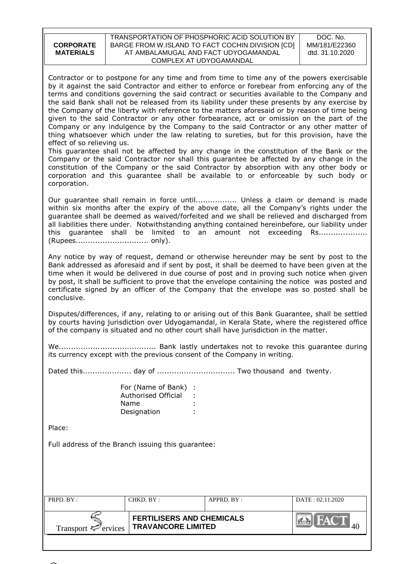| <b>CORPORATE</b><br><b>MATERIALS</b>                                                                                                                                                                                                                                                                                                                                                                                                                                                                                                                                                                                                                                                                                                                                                                                                                                                                                                                                                                                                                                                                                                                                                                         |                                                                    | TRANSPORTATION OF PHOSPHORIC ACID SOLUTION BY<br>BARGE FROM W.ISLAND TO FACT COCHIN DIVISION [CD]<br>AT AMBALAMUGAL AND FACT UDYOGAMANDAL<br>COMPLEX AT UDYOGAMANDAL                                                                                                                                                                                                                                                                       | DOC. No.<br>MM/181/E22360<br>dtd. 31.10.2020 |  |
|--------------------------------------------------------------------------------------------------------------------------------------------------------------------------------------------------------------------------------------------------------------------------------------------------------------------------------------------------------------------------------------------------------------------------------------------------------------------------------------------------------------------------------------------------------------------------------------------------------------------------------------------------------------------------------------------------------------------------------------------------------------------------------------------------------------------------------------------------------------------------------------------------------------------------------------------------------------------------------------------------------------------------------------------------------------------------------------------------------------------------------------------------------------------------------------------------------------|--------------------------------------------------------------------|--------------------------------------------------------------------------------------------------------------------------------------------------------------------------------------------------------------------------------------------------------------------------------------------------------------------------------------------------------------------------------------------------------------------------------------------|----------------------------------------------|--|
| Contractor or to postpone for any time and from time to time any of the powers exercisable<br>by it against the said Contractor and either to enforce or forebear from enforcing any of the<br>terms and conditions governing the said contract or securities available to the Company and<br>the said Bank shall not be released from its liability under these presents by any exercise by<br>the Company of the liberty with reference to the matters aforesaid or by reason of time being<br>given to the said Contractor or any other forbearance, act or omission on the part of the<br>Company or any indulgence by the Company to the said Contractor or any other matter of<br>thing whatsoever which under the law relating to sureties, but for this provision, have the<br>effect of so relieving us.<br>This guarantee shall not be affected by any change in the constitution of the Bank or the<br>Company or the said Contractor nor shall this guarantee be affected by any change in the<br>constitution of the Company or the said Contractor by absorption with any other body or<br>corporation and this guarantee shall be available to or enforceable by such body or<br>corporation. |                                                                    |                                                                                                                                                                                                                                                                                                                                                                                                                                            |                                              |  |
|                                                                                                                                                                                                                                                                                                                                                                                                                                                                                                                                                                                                                                                                                                                                                                                                                                                                                                                                                                                                                                                                                                                                                                                                              |                                                                    | Our guarantee shall remain in force until Unless a claim or demand is made<br>within six months after the expiry of the above date, all the Company's rights under the<br>guarantee shall be deemed as waived/forfeited and we shall be relieved and discharged from<br>all liabilities there under. Notwithstanding anything contained hereinbefore, our liability under<br>this guarantee shall be limited to an amount not exceeding Rs |                                              |  |
| Any notice by way of request, demand or otherwise hereunder may be sent by post to the<br>Bank addressed as aforesaid and if sent by post, it shall be deemed to have been given at the<br>time when it would be delivered in due course of post and in proving such notice when given<br>by post, it shall be sufficient to prove that the envelope containing the notice was posted and<br>certificate signed by an officer of the Company that the envelope was so posted shall be<br>conclusive.                                                                                                                                                                                                                                                                                                                                                                                                                                                                                                                                                                                                                                                                                                         |                                                                    |                                                                                                                                                                                                                                                                                                                                                                                                                                            |                                              |  |
| Disputes/differences, if any, relating to or arising out of this Bank Guarantee, shall be settled<br>by courts having jurisdiction over Udyogamandal, in Kerala State, where the registered office<br>of the company is situated and no other court shall have jurisdiction in the matter.                                                                                                                                                                                                                                                                                                                                                                                                                                                                                                                                                                                                                                                                                                                                                                                                                                                                                                                   |                                                                    |                                                                                                                                                                                                                                                                                                                                                                                                                                            |                                              |  |
| its currency except with the previous consent of the Company in writing.                                                                                                                                                                                                                                                                                                                                                                                                                                                                                                                                                                                                                                                                                                                                                                                                                                                                                                                                                                                                                                                                                                                                     |                                                                    |                                                                                                                                                                                                                                                                                                                                                                                                                                            |                                              |  |
|                                                                                                                                                                                                                                                                                                                                                                                                                                                                                                                                                                                                                                                                                                                                                                                                                                                                                                                                                                                                                                                                                                                                                                                                              |                                                                    |                                                                                                                                                                                                                                                                                                                                                                                                                                            |                                              |  |
|                                                                                                                                                                                                                                                                                                                                                                                                                                                                                                                                                                                                                                                                                                                                                                                                                                                                                                                                                                                                                                                                                                                                                                                                              | For (Name of Bank) :<br>Authorised Official<br>Name<br>Designation |                                                                                                                                                                                                                                                                                                                                                                                                                                            |                                              |  |
| Place:                                                                                                                                                                                                                                                                                                                                                                                                                                                                                                                                                                                                                                                                                                                                                                                                                                                                                                                                                                                                                                                                                                                                                                                                       |                                                                    |                                                                                                                                                                                                                                                                                                                                                                                                                                            |                                              |  |
| Full address of the Branch issuing this guarantee:                                                                                                                                                                                                                                                                                                                                                                                                                                                                                                                                                                                                                                                                                                                                                                                                                                                                                                                                                                                                                                                                                                                                                           |                                                                    |                                                                                                                                                                                                                                                                                                                                                                                                                                            |                                              |  |
|                                                                                                                                                                                                                                                                                                                                                                                                                                                                                                                                                                                                                                                                                                                                                                                                                                                                                                                                                                                                                                                                                                                                                                                                              |                                                                    |                                                                                                                                                                                                                                                                                                                                                                                                                                            |                                              |  |
| PRPD. BY:                                                                                                                                                                                                                                                                                                                                                                                                                                                                                                                                                                                                                                                                                                                                                                                                                                                                                                                                                                                                                                                                                                                                                                                                    | CHKD. BY:                                                          | APPRD. BY:                                                                                                                                                                                                                                                                                                                                                                                                                                 | DATE: 02.11.2020                             |  |
| Transport $\leq$ ervices                                                                                                                                                                                                                                                                                                                                                                                                                                                                                                                                                                                                                                                                                                                                                                                                                                                                                                                                                                                                                                                                                                                                                                                     | <b>FERTILISERS AND CHEMICALS</b><br><b>TRAVANCORE LIMITED</b>      |                                                                                                                                                                                                                                                                                                                                                                                                                                            |                                              |  |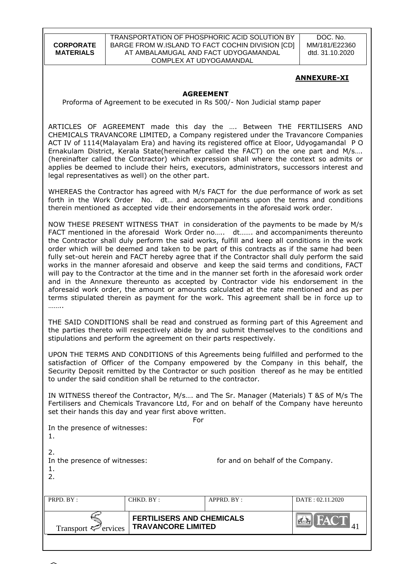TRANSPORTATION OF PHOSPHORIC ACID SOLUTION BY BARGE FROM W.ISLAND TO FACT COCHIN DIVISION [CD] AT AMBALAMUGAL AND FACT UDYOGAMANDAL COMPLEX AT UDYOGAMANDAL

DOC. No. MM/181/E22360 dtd. 31.10.2020

### **ANNEXURE-XI**

#### **AGREEMENT**

Proforma of Agreement to be executed in Rs 500/- Non Judicial stamp paper

ARTICLES OF AGREEMENT made this day the …. Between THE FERTILISERS AND CHEMICALS TRAVANCORE LIMITED, a Company registered under the Travancore Companies ACT IV of 1114(Malayalam Era) and having its registered office at Eloor, Udyogamandal P O Ernakulam District, Kerala State(hereinafter called the FACT) on the one part and M/s…. (hereinafter called the Contractor) which expression shall where the context so admits or applies be deemed to include their heirs, executors, administrators, successors interest and legal representatives as well) on the other part.

WHEREAS the Contractor has agreed with M/s FACT for the due performance of work as set forth in the Work Order No. dt… and accompaniments upon the terms and conditions therein mentioned as accepted vide their endorsements in the aforesaid work order.

NOW THESE PRESENT WITNESS THAT in consideration of the payments to be made by M/s FACT mentioned in the aforesaid Work Order no….. dt……. and accompaniments thereunto the Contractor shall duly perform the said works, fulfill and keep all conditions in the work order which will be deemed and taken to be part of this contracts as if the same had been fully set-out herein and FACT hereby agree that if the Contractor shall duly perform the said works in the manner aforesaid and observe and keep the said terms and conditions, FACT will pay to the Contractor at the time and in the manner set forth in the aforesaid work order and in the Annexure thereunto as accepted by Contractor vide his endorsement in the aforesaid work order, the amount or amounts calculated at the rate mentioned and as per terms stipulated therein as payment for the work. This agreement shall be in force up to ………

THE SAID CONDITIONS shall be read and construed as forming part of this Agreement and the parties thereto will respectively abide by and submit themselves to the conditions and stipulations and perform the agreement on their parts respectively.

UPON THE TERMS AND CONDITIONS of this Agreements being fulfilled and performed to the satisfaction of Officer of the Company empowered by the Company in this behalf, the Security Deposit remitted by the Contractor or such position thereof as he may be entitled to under the said condition shall be returned to the contractor.

IN WITNESS thereof the Contractor, M/s…. and The Sr. Manager (Materials) T &S of M/s The Fertilisers and Chemicals Travancore Ltd, For and on behalf of the Company have hereunto set their hands this day and year first above written.

| ervices<br>Transport ₹                          | <b>FERTILISERS AND CHEMICALS</b><br><b>TRAVANCORE LIMITED</b> | <b>EN FACT</b>                    |                  |
|-------------------------------------------------|---------------------------------------------------------------|-----------------------------------|------------------|
| PRPD. BY:                                       | CHKD. BY:                                                     | APPRD. BY:                        | DATE: 02.11.2020 |
| 2.<br>In the presence of witnesses:<br>1.<br>2. |                                                               | for and on behalf of the Company. |                  |
| In the presence of witnesses:                   |                                                               |                                   |                  |
|                                                 |                                                               | For                               |                  |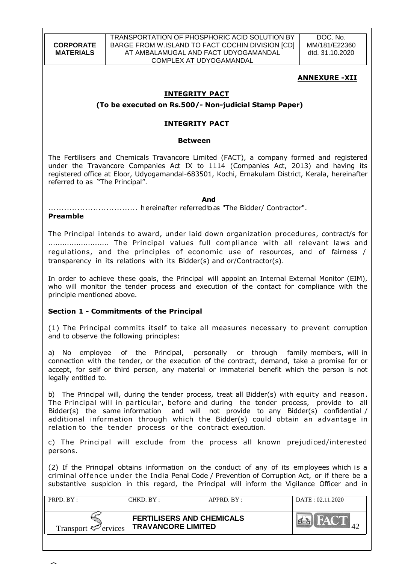TRANSPORTATION OF PHOSPHORIC ACID SOLUTION BY BARGE FROM W.ISLAND TO FACT COCHIN DIVISION [CD] AT AMBALAMUGAL AND FACT UDYOGAMANDAL COMPLEX AT UDYOGAMANDAL

DOC. No. MM/181/E22360 dtd. 31.10.2020

# **ANNEXURE -XII**

# **INTEGRITY PACT**

**(To be executed on Rs.500/- Non-judicial Stamp Paper)**

### **INTEGRITY PACT**

#### **Between**

The Fertilisers and Chemicals Travancore Limited (FACT), a company formed and registered under the Travancore Companies Act IX to 1114 (Companies Act, 2013) and having its registered office at Eloor, Udyogamandal-683501, Kochi, Ernakulam District, Kerala, hereinafter referred to as "The Principal".

*And* 

.................................. hereinafter referredtoas "The Bidder/ Contractor".

### **Preamble**

The Principal intends to award, under laid down organization procedures, contract/s for .......................... The Principal values full compliance with all relevant laws and regulations, and the principles of economic use of resources, and of fairness / transparency in its relations with its Bidder(s) and or/Contractor(s).

In order to achieve these goals, the Principal will appoint an Internal External Monitor (EIM), who will monitor the tender process and execution of the contact for compliance with the principle mentioned above.

# **Section 1 - Commitments of the Principal**

(1) The Principal commits itself to take all measures necessary to prevent corruption and to observe the following principles:

a) No employee of the Principal, personally or through family members, will in connection with the tender, or the execution of the contract, demand, take a promise for or accept, for self or third person, any material or immaterial benefit which the person is not legally entitled to.

b) The Principal will, during the tender process, treat all Bidder(s) with equity and reason. The Principal will in particular, before and during the tender process, provide to all Bidder(s) the same information and will not provide to any Bidder(s) confidential / additional information through which the Bidder(s) could obtain an advantage in relation to the tender process or the contract execution.

c) The Principal will exclude from the process all known prejudiced/interested persons.

(2) If the Principal obtains information on the conduct of any of its employees which is a criminal offence under the India Penal Code / Prevention of Corruption Act, or if there be a substantive suspicion in this regard, the Principal will inform the Vigilance Officer and in

| PRPD. BY:                       | CHKD. BY:                                                     | APPRD. BY: | DATA: 02.11.2020 |
|---------------------------------|---------------------------------------------------------------|------------|------------------|
| Transport $\mathcal{F}$ ervices | <b>FERTILISERS AND CHEMICALS</b><br><b>TRAVANCORE LIMITED</b> |            | <b>AV</b>        |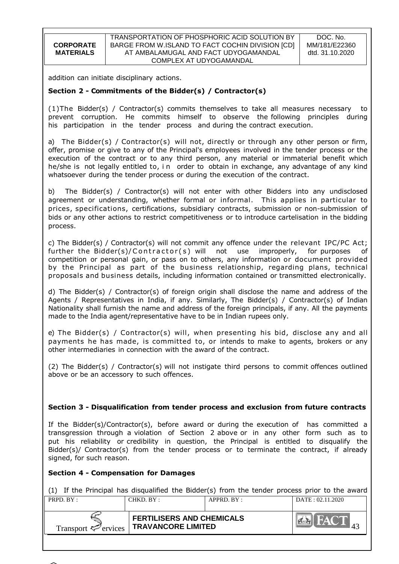addition can initiate disciplinary actions.

# **Section 2 - Commitments of the Bidder(s) / Contractor(s)**

(1)The Bidder(s) / Contractor(s) commits themselves to take all measures necessary to prevent corruption. He commits himself to observe the following principles during his participation in the tender process and during the contract execution.

a) The Bidder(s) / Contractor(s) will not, directly or through any other person or firm, offer, promise or give to any of the Principal's employees involved in the tender process or the execution of the contract or to any third person, any material or immaterial benefit which he/she is not legally entitled to, in order to obtain in exchange, any advantage of any kind whatsoever during the tender process or during the execution of the contract.

b) The Bidder(s) / Contractor(s) will not enter with other Bidders into any undisclosed agreement or understanding, whether formal or informal. This applies in particular to prices, specifications, certifications, subsidiary contracts, submission or non-submission of bids or any other actions to restrict competitiveness or to introduce cartelisation in the bidding process.

c) The Bidder(s) / Contractor(s) will not commit any offence under the relevant IPC/PC Act; further the Bidder(s)/Contractor(s) will not use improperly, for purposes of competition or personal gain, or pass on to others, any information or document provided by the Principal as part of the business relationship, regarding plans, technical proposals and business details, including information contained or transmitted electronically.

d) The Bidder(s) / Contractor(s) of foreign origin shall disclose the name and address of the Agents / Representatives in India, if any. Similarly, The Bidder(s) / Contractor(s) of Indian Nationality shall furnish the name and address of the foreign principals, if any. All the payments made to the India agent/representative have to be in Indian rupees only.

e) The Bidder(s) / Contractor(s) will, when presenting his bid, disclose any and all payments he has made, is committed to, or intends to make to agents, brokers or any other intermediaries in connection with the award of the contract.

(2) The Bidder(s) / Contractor(s) will not instigate third persons to commit offences outlined above or be an accessory to such offences.

# **Section 3 - Disqualification from tender process and exclusion from future contracts**

If the Bidder(s)/Contractor(s), before award or during the execution of has committed a transgression through a violation of Section 2 above or in any other form such as to put his reliability or credibility in question, the Principal is entitled to disqualify the Bidder(s)/ Contractor(s) from the tender process or to terminate the contract, if already signed, for such reason.

#### **Section 4 - Compensation for Damages**

(1) If the Principal has disqualified the Bidder(s) from the tender process prior to the award

| PRPD. BY:                       | CHKD. BY :                                                    | APPRD. BY: | DATA: 02.11.2020 |
|---------------------------------|---------------------------------------------------------------|------------|------------------|
| Transport $\mathcal{L}$ ervices | <b>FERTILISERS AND CHEMICALS</b><br><b>TRAVANCORE LIMITED</b> |            | FACT             |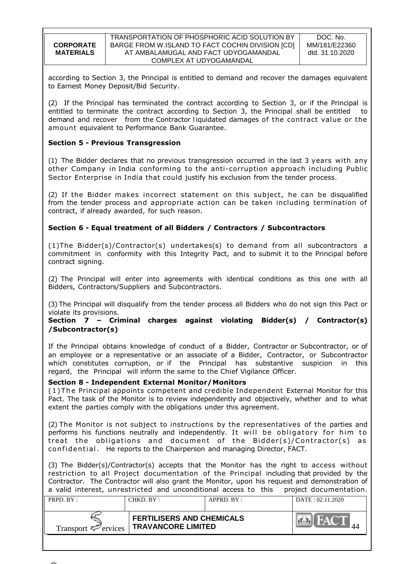| <b>CORPORATE</b> |
|------------------|
|                  |
| <b>MATERIALS</b> |

according to Section 3, the Principal is entitled to demand and recover the damages equivalent to Earnest Money Deposit/Bid Security.

(2) If the Principal has terminated the contract according to Section 3, or if the Principal is entitled to terminate the contract according to Section 3, the Principal shall be entitled to demand and recover from the Contractor l iquidated damages of the contract value or the amount equivalent to Performance Bank Guarantee.

### **Section 5 - Previous Transgression**

(1) The Bidder declares that no previous transgression occurred in the last 3 years with any other Company in India conforming to the anti-corruption approach including Public Sector Enterprise in India that could justify his exclusion from the tender process.

(2) If the Bidder makes incorrect statement on this subject, he can be disqualified from the tender process and appropriate action can be taken including termination of contract, if already awarded, for such reason.

### **Section 6 - Equal treatment of all Bidders / Contractors / Subcontractors**

(1)The Bidder(s)/Contractor(s) undertakes(s) to demand from all subcontractors a commitment in conformity with this Integrity Pact, and to submit it to the Principal before contract signing.

(2) The Principal will enter into agreements with identical conditions as this one with all Bidders, Contractors/Suppliers and Subcontractors.

(3) The Principal will disqualify from the tender process all Bidders who do not sign this Pact or violate its provisions.

### **Section 7 – Criminal charges against violating Bidder(s) / Contractor(s) /Subcontractor(s)**

If the Principal obtains knowledge of conduct of a Bidder, Contractor or Subcontractor, or of an employee or a representative or an associate of a Bidder, Contractor, or Subcontractor which constitutes corruption, or if the Principal has substantive suspicion in this regard, the Principal will inform the same to the Chief Vigilance Officer.

#### **Section 8 - Independent External Monitor/Monitors**

( 1 ) T he Principal appoints competent and credible Independent External Monitor for this Pact. The task of the Monitor is to review independently and objectively, whether and to what extent the parties comply with the obligations under this agreement.

(2) The Monitor is not subject to instructions by the representatives of the parties and performs his functions neutrally and independently. It will be obligatory for him to treat the obligations and document of the Bidder(s)/Contractor(s) as con fid ential. He reports to the Chairperson and managing Director, FACT.

(3) The Bidder(s)/Contractor(s) accepts that the Monitor has the right to access without restriction to all Project documentation of the Principal including that provided by the Contractor. The Contractor will also grant the Monitor, upon his request and demonstration of a valid interest, unrestricted and unconditional access to this project documentation.

| PRPD. BY:                       | CHKD. BY :                                                    | $APPRD$ . $BY$ : | DATA: 02.11.2020 |
|---------------------------------|---------------------------------------------------------------|------------------|------------------|
| Transport $\mathcal{L}$ ervices | <b>FERTILISERS AND CHEMICALS</b><br><b>TRAVANCORE LIMITED</b> |                  | <b>AV</b>        |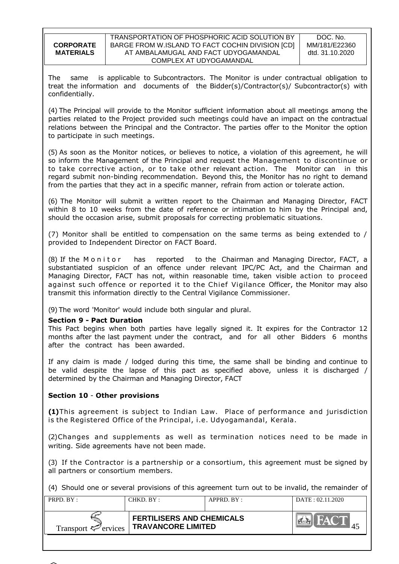The same is applicable to Subcontractors. The Monitor is under contractual obligation to treat the information and documents of the Bidder(s)/Contractor(s)/ Subcontractor(s) with confidentially.

(4) The Principal will provide to the Monitor sufficient information about all meetings among the parties related to the Project provided such meetings could have an impact on the contractual relations between the Principal and the Contractor. The parties offer to the Monitor the option to participate in such meetings.

(5) As soon as the Monitor notices, or believes to notice, a violation of this agreement, he will so inform the Management of the Principal and request the Management to discontinue or to take corrective action, or to take other relevant action. The Monitor can in this regard submit non-binding recommendation. Beyond this, the Monitor has no right to demand from the parties that they act in a specific manner, refrain from action or tolerate action.

(6) The Monitor will submit a written report to the Chairman and Managing Director, FACT within 8 to 10 weeks from the date of reference or intimation to him by the Principal and, should the occasion arise, submit proposals for correcting problematic situations.

(7) Monitor shall be entitled to compensation on the same terms as being extended to / provided to Independent Director on FACT Board.

(8) If the M onit or has reported to the Chairman and Managing Director, FACT, a substantiated suspicion of an offence under relevant IPC/PC Act, and the Chairman and Managing Director, FACT has not, within reasonable time, taken visible action to proceed against such offence or reported it to the Chief Vigilance Officer, the Monitor may also transmit this information directly to the Central Vigilance Commissioner.

(9) The word 'Monitor' would include both singular and plural.

# **Section 9 - Pact Duration**

This Pact begins when both parties have legally signed it. It expires for the Contractor 12 months after the last payment under the contract, and for all other Bidders 6 months after the contract has been awarded.

If any claim is made / lodged during this time, the same shall be binding and continue to be valid despite the lapse of this pact as specified above, unless it is discharged / determined by the Chairman and Managing Director, FACT

#### **Section 10** - **Other provisions**

**(1)**This agreement is subject to Indian Law. Place of performance and jurisdiction is the Registered Office of the Principal, i.e. Udyogamandal, Kerala.

(2)Changes and supplements as well as termination notices need to be made in writing. Side agreements have not been made.

(3) If the Contractor is a partnership or a consortium, this agreement must be signed by all partners or consortium members.

(4) Should one or several provisions of this agreement turn out to be invalid, the remainder of

| PRPD. BY:                       | CHKD. BY:                                                     | APPRD. BY: | DATA: 02.11.2020 |
|---------------------------------|---------------------------------------------------------------|------------|------------------|
| Transport $\mathcal{F}$ ervices | <b>FERTILISERS AND CHEMICALS</b><br><b>TRAVANCORE LIMITED</b> |            | $\sim$ $\Lambda$ |